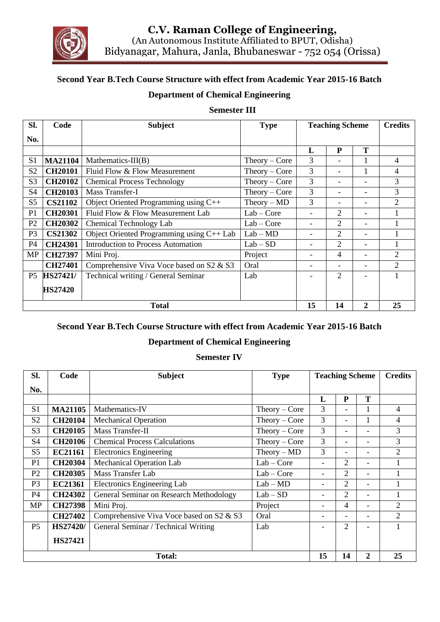

### **Second Year B.Tech Course Structure with effect from Academic Year 2015-16 Batch**

#### **Department of Chemical Engineering**

#### **Semester III**

| SI.            | Code            | <b>Subject</b>                            | <b>Type</b>     | <b>Teaching Scheme</b> |                          |                          | <b>Credits</b> |
|----------------|-----------------|-------------------------------------------|-----------------|------------------------|--------------------------|--------------------------|----------------|
| No.            |                 |                                           |                 |                        |                          |                          |                |
|                |                 |                                           |                 | L                      | P                        | Т                        |                |
| S1             | <b>MA21104</b>  | Mathematics- $III(B)$                     | $Theory - Core$ | 3                      |                          |                          | 4              |
| S <sub>2</sub> | <b>CH20101</b>  | Fluid Flow & Flow Measurement             | $Theory - Core$ | 3                      | $\overline{\phantom{0}}$ |                          | 4              |
| S <sub>3</sub> | <b>CH20102</b>  | <b>Chemical Process Technology</b>        | $Theory - Core$ | 3                      | $\overline{\phantom{a}}$ |                          | 3              |
| S <sub>4</sub> | <b>CH20103</b>  | Mass Transfer-I                           | $Theory - Core$ | 3                      | -                        | $\overline{\phantom{0}}$ | 3              |
| S <sub>5</sub> | <b>CS21102</b>  | Object Oriented Programming using C++     | $Theory - MD$   | 3                      |                          |                          | $\mathfrak{D}$ |
| P <sub>1</sub> | <b>CH20301</b>  | Fluid Flow & Flow Measurement Lab         | $Lab - Core$    |                        | 2                        | $\overline{\phantom{0}}$ |                |
| P <sub>2</sub> | <b>CH20302</b>  | Chemical Technology Lab                   | $Lab - Core$    |                        | 2                        | $\overline{\phantom{0}}$ |                |
| P <sub>3</sub> | <b>CS21302</b>  | Object Oriented Programming using C++ Lab | $Lab - MD$      |                        | $\overline{2}$           |                          |                |
| P4             | <b>CH24301</b>  | Introduction to Process Automation        | $Lab - SD$      |                        | $\overline{2}$           |                          |                |
| <b>MP</b>      | <b>CH27397</b>  | Mini Proj.                                | Project         |                        | 4                        |                          | $\mathfrak{D}$ |
|                | <b>CH27401</b>  | Comprehensive Viva Voce based on S2 & S3  | Oral            |                        |                          | $\overline{\phantom{0}}$ | $\mathfrak{D}$ |
| P <sub>5</sub> | <b>HS27421/</b> | Technical writing / General Seminar       | Lab             |                        | $\overline{c}$           |                          |                |
|                | <b>HS27420</b>  |                                           |                 |                        |                          |                          |                |
| <b>Total</b>   |                 |                                           |                 |                        | 14                       | $\overline{2}$           | 25             |

#### **Second Year B.Tech Course Structure with effect from Academic Year 2015-16 Batch**

#### **Department of Chemical Engineering**

#### **Semester IV**

| Sl.            | Code            | <b>Subject</b>                           | <b>Type</b>     | <b>Teaching Scheme</b>   |                          |                          | <b>Credits</b> |
|----------------|-----------------|------------------------------------------|-----------------|--------------------------|--------------------------|--------------------------|----------------|
| No.            |                 |                                          |                 |                          |                          |                          |                |
|                |                 |                                          |                 | L                        | P                        | T                        |                |
| S <sub>1</sub> | <b>MA21105</b>  | Mathematics-IV                           | $Theory - Core$ | 3                        |                          |                          | 4              |
| S <sub>2</sub> | <b>CH20104</b>  | <b>Mechanical Operation</b>              | $Theory - Core$ | 3                        |                          |                          | 4              |
| S <sub>3</sub> | <b>CH20105</b>  | <b>Mass Transfer-II</b>                  | $Theory - Core$ | 3                        |                          |                          | 3              |
| S <sub>4</sub> | <b>CH20106</b>  | <b>Chemical Process Calculations</b>     | $Theory - Core$ | 3                        | $\overline{\phantom{a}}$ | $\overline{\phantom{0}}$ | 3              |
| S <sub>5</sub> | EC21161         | <b>Electronics Engineering</b>           | $Theory - MD$   | 3                        | $\overline{\phantom{0}}$ | $\overline{\phantom{0}}$ | $\overline{2}$ |
| P1             | <b>CH20304</b>  | <b>Mechanical Operation Lab</b>          | $Lab - Core$    | $\overline{\phantom{0}}$ | 2                        | $\overline{\phantom{0}}$ |                |
| P <sub>2</sub> | <b>CH20305</b>  | <b>Mass Transfer Lab</b>                 | $Lab - Core$    | -                        | 2                        | $\overline{\phantom{0}}$ |                |
| P <sub>3</sub> | <b>EC21361</b>  | Electronics Engineering Lab              | $Lab - MD$      | -                        | $\overline{2}$           | $\overline{\phantom{0}}$ |                |
| P4             | <b>CH24302</b>  | General Seminar on Research Methodology  | $Lab - SD$      | -                        | $\mathfrak{D}$           | $\overline{\phantom{0}}$ |                |
| <b>MP</b>      | <b>CH27398</b>  | Mini Proj.                               | Project         | $\overline{\phantom{0}}$ | 4                        | $\overline{\phantom{0}}$ | $\overline{2}$ |
|                | <b>CH27402</b>  | Comprehensive Viva Voce based on S2 & S3 | Oral            |                          |                          | $\overline{\phantom{0}}$ | $\overline{2}$ |
| P <sub>5</sub> | <b>HS27420/</b> | General Seminar / Technical Writing      | Lab             |                          | $\overline{2}$           |                          |                |
|                | <b>HS27421</b>  |                                          |                 |                          |                          |                          |                |
| <b>Total:</b>  |                 |                                          |                 |                          | 14                       | $\overline{2}$           | 25             |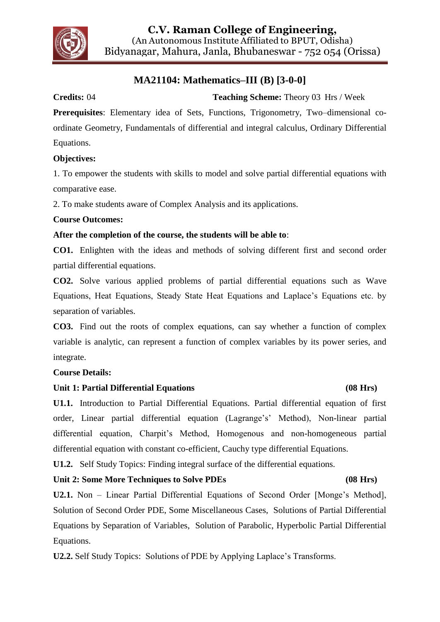

## **MA21104: Mathematics–III (B) [3-0-0]**

#### **Credits:** 04 **Teaching Scheme:** Theory 03 Hrs / Week

**Prerequisites**: Elementary idea of Sets, Functions, Trigonometry, Two–dimensional coordinate Geometry, Fundamentals of differential and integral calculus, Ordinary Differential Equations.

#### **Objectives:**

1. To empower the students with skills to model and solve partial differential equations with comparative ease.

2. To make students aware of Complex Analysis and its applications.

#### **Course Outcomes:**

#### **After the completion of the course, the students will be able to**:

**CO1.** Enlighten with the ideas and methods of solving different first and second order partial differential equations.

**CO2.** Solve various applied problems of partial differential equations such as Wave Equations, Heat Equations, Steady State Heat Equations and Laplace's Equations etc. by separation of variables.

**CO3.** Find out the roots of complex equations, can say whether a function of complex variable is analytic, can represent a function of complex variables by its power series, and integrate.

#### **Course Details:**

#### **Unit 1: Partial Differential Equations (08 Hrs)**

**U1.1.** Introduction to Partial Differential Equations. Partial differential equation of first order, Linear partial differential equation (Lagrange's' Method), Non-linear partial differential equation, Charpit's Method, Homogenous and non-homogeneous partial differential equation with constant co-efficient, Cauchy type differential Equations.

**U1.2.** Self Study Topics: Finding integral surface of the differential equations.

#### **Unit 2: Some More Techniques to Solve PDEs (08 Hrs)**

**U2.1.** Non – Linear Partial Differential Equations of Second Order [Monge's Method], Solution of Second Order PDE, Some Miscellaneous Cases, Solutions of Partial Differential Equations by Separation of Variables, Solution of Parabolic, Hyperbolic Partial Differential Equations.

**U2.2.** Self Study Topics: Solutions of PDE by Applying Laplace's Transforms.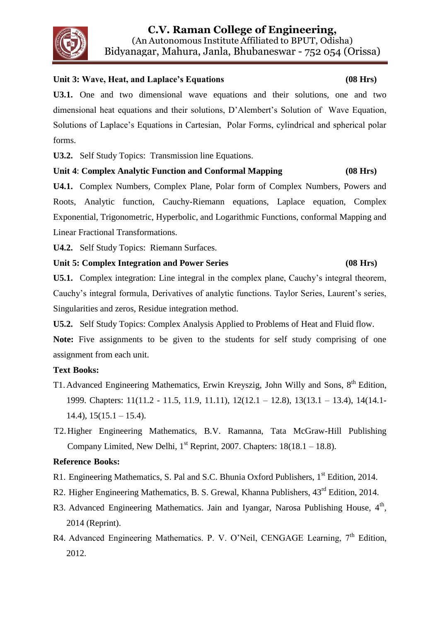# **C.V. Raman College of Engineering,**

(An Autonomous Institute Affiliated to BPUT, Odisha) Bidyanagar, Mahura, Janla, Bhubaneswar - 752 054 (Orissa)

### **Unit 3: Wave, Heat, and Laplace's Equations (08 Hrs)**

**U3.1.** One and two dimensional wave equations and their solutions, one and two dimensional heat equations and their solutions, D'Alembert's Solution of Wave Equation, Solutions of Laplace's Equations in Cartesian, Polar Forms, cylindrical and spherical polar forms.

**U3.2.** Self Study Topics: Transmission line Equations.

## **Unit 4**: **Complex Analytic Function and Conformal Mapping (08 Hrs)**

**U4.1.** Complex Numbers, Complex Plane, Polar form of Complex Numbers, Powers and Roots, Analytic function, Cauchy-Riemann equations, Laplace equation, Complex Exponential, Trigonometric, Hyperbolic, and Logarithmic Functions, conformal Mapping and Linear Fractional Transformations.

**U4.2.** Self Study Topics: Riemann Surfaces.

#### **Unit 5: Complex Integration and Power Series (08 Hrs)**

**U5.1.** Complex integration: Line integral in the complex plane, Cauchy's integral theorem, Cauchy's integral formula, Derivatives of analytic functions. Taylor Series, Laurent's series, Singularities and zeros, Residue integration method.

**U5.2.** Self Study Topics: Complex Analysis Applied to Problems of Heat and Fluid flow.

Note: Five assignments to be given to the students for self study comprising of one assignment from each unit.

### **Text Books:**

- T1. Advanced Engineering Mathematics, Erwin Kreyszig, John Willy and Sons, 8<sup>th</sup> Edition, 1999. Chapters: 11(11.2 - 11.5, 11.9, 11.11), 12(12.1 – 12.8), 13(13.1 – 13.4), 14(14.1-  $14.4$ ),  $15(15.1 - 15.4)$ .
- T2.Higher Engineering Mathematics, B.V. Ramanna, Tata McGraw-Hill Publishing Company Limited, New Delhi,  $1<sup>st</sup>$  Reprint, 2007. Chapters:  $18(18.1 - 18.8)$ .

### **Reference Books:**

- R1. Engineering Mathematics, S. Pal and S.C. Bhunia Oxford Publishers, 1<sup>st</sup> Edition, 2014.
- R2. Higher Engineering Mathematics, B. S. Grewal, Khanna Publishers,  $43<sup>rd</sup>$  Edition, 2014.
- R3. Advanced Engineering Mathematics. Jain and Iyangar, Narosa Publishing House, 4<sup>th</sup>, 2014 (Reprint).
- R4. Advanced Engineering Mathematics. P. V. O'Neil, CENGAGE Learning, 7<sup>th</sup> Edition, 2012.

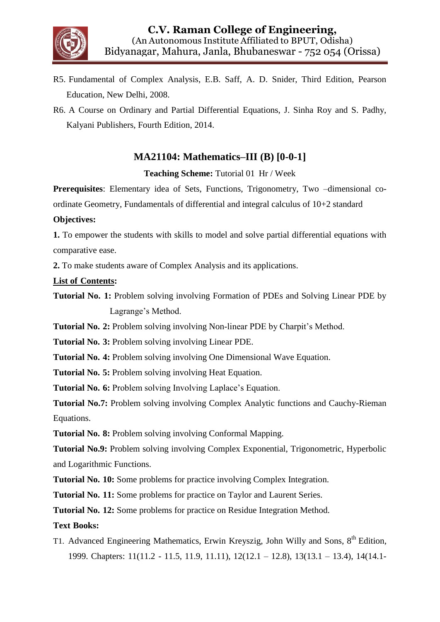

- R5. Fundamental of Complex Analysis, E.B. Saff, A. D. Snider, Third Edition, Pearson Education, New Delhi, 2008.
- R6. A Course on Ordinary and Partial Differential Equations, J. Sinha Roy and S. Padhy, Kalyani Publishers, Fourth Edition, 2014.

## **MA21104: Mathematics–III (B) [0-0-1]**

**Teaching Scheme:** Tutorial 01 Hr / Week

**Prerequisites**: Elementary idea of Sets, Functions, Trigonometry, Two –dimensional coordinate Geometry, Fundamentals of differential and integral calculus of 10+2 standard

#### **Objectives:**

**1.** To empower the students with skills to model and solve partial differential equations with comparative ease.

**2.** To make students aware of Complex Analysis and its applications.

#### **List of Contents:**

- **Tutorial No. 1:** Problem solving involving Formation of PDEs and Solving Linear PDE by Lagrange's Method.
- **Tutorial No. 2:** Problem solving involving Non-linear PDE by Charpit's Method.

**Tutorial No. 3:** Problem solving involving Linear PDE.

**Tutorial No. 4:** Problem solving involving One Dimensional Wave Equation.

**Tutorial No. 5:** Problem solving involving Heat Equation.

**Tutorial No. 6:** Problem solving Involving Laplace's Equation.

**Tutorial No.7:** Problem solving involving Complex Analytic functions and Cauchy-Rieman Equations.

**Tutorial No. 8:** Problem solving involving Conformal Mapping.

**Tutorial No.9:** Problem solving involving Complex Exponential, Trigonometric, Hyperbolic and Logarithmic Functions.

**Tutorial No. 10:** Some problems for practice involving Complex Integration.

**Tutorial No. 11:** Some problems for practice on Taylor and Laurent Series.

**Tutorial No. 12:** Some problems for practice on Residue Integration Method.

#### **Text Books:**

T1. Advanced Engineering Mathematics, Erwin Kreyszig, John Willy and Sons, 8<sup>th</sup> Edition, 1999. Chapters: 11(11.2 - 11.5, 11.9, 11.11), 12(12.1 – 12.8), 13(13.1 – 13.4), 14(14.1-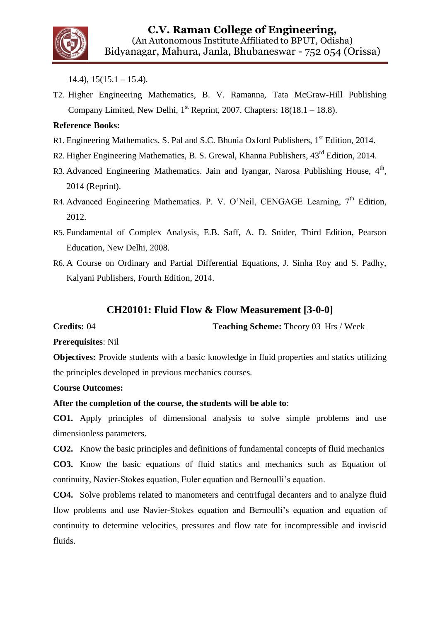

 $14.4$ ),  $15(15.1 - 15.4)$ .

T2. Higher Engineering Mathematics, B. V. Ramanna, Tata McGraw-Hill Publishing Company Limited, New Delhi,  $1<sup>st</sup>$  Reprint, 2007. Chapters:  $18(18.1 - 18.8)$ .

#### **Reference Books:**

- R1. Engineering Mathematics, S. Pal and S.C. Bhunia Oxford Publishers, 1<sup>st</sup> Edition, 2014.
- R2. Higher Engineering Mathematics, B. S. Grewal, Khanna Publishers, 43rd Edition, 2014.
- R3. Advanced Engineering Mathematics. Jain and Iyangar, Narosa Publishing House, 4<sup>th</sup>, 2014 (Reprint).
- R4. Advanced Engineering Mathematics. P. V. O'Neil, CENGAGE Learning,  $7<sup>th</sup>$  Edition, 2012.
- R5. Fundamental of Complex Analysis, E.B. Saff, A. D. Snider, Third Edition, Pearson Education, New Delhi, 2008.
- R6. A Course on Ordinary and Partial Differential Equations, J. Sinha Roy and S. Padhy, Kalyani Publishers, Fourth Edition, 2014.

## **CH20101: Fluid Flow & Flow Measurement [3-0-0]**

**Credits:** 04 **Teaching Scheme:** Theory 03 Hrs / Week

**Prerequisites**: Nil

**Objectives:** Provide students with a basic knowledge in fluid properties and statics utilizing the principles developed in previous mechanics courses*.*

#### **Course Outcomes:**

**After the completion of the course, the students will be able to**:

**CO1.** Apply principles of dimensional analysis to solve simple problems and use dimensionless parameters.

**CO2.** Know the basic principles and definitions of fundamental concepts of fluid mechanics

**CO3.** Know the basic equations of fluid statics and mechanics such as Equation of continuity, Navier-Stokes equation, Euler equation and Bernoulli's equation.

**CO4.** Solve problems related to manometers and centrifugal decanters and to analyze fluid flow problems and use Navier-Stokes equation and Bernoulli's equation and equation of continuity to determine velocities, pressures and flow rate for incompressible and inviscid fluids.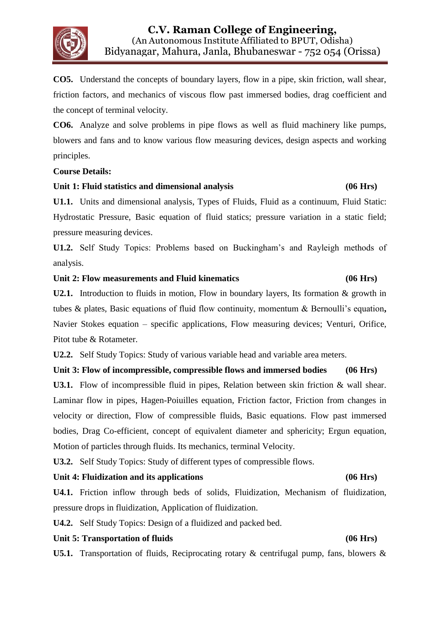

**CO5.** Understand the concepts of boundary layers, flow in a pipe, skin friction, wall shear, friction factors, and mechanics of viscous flow past immersed bodies, drag coefficient and the concept of terminal velocity.

**CO6.** Analyze and solve problems in pipe flows as well as fluid machinery like pumps, blowers and fans and to know various flow measuring devices, design aspects and working principles.

#### **Course Details:**

#### **Unit 1: Fluid statistics and dimensional analysis (06 Hrs)**

**U1.1.** Units and dimensional analysis, Types of Fluids, Fluid as a continuum, Fluid Static: Hydrostatic Pressure, Basic equation of fluid statics; pressure variation in a static field; pressure measuring devices.

**U1.2.** Self Study Topics: Problems based on Buckingham's and Rayleigh methods of analysis.

#### **Unit 2: Flow measurements and Fluid kinematics (06 Hrs)**

**U2.1.** Introduction to fluids in motion, Flow in boundary layers, Its formation & growth in tubes & plates, Basic equations of fluid flow continuity, momentum & Bernoulli's equation**,**  Navier Stokes equation – specific applications, Flow measuring devices; Venturi, Orifice, Pitot tube & Rotameter.

**U2.2.** Self Study Topics: Study of various variable head and variable area meters.

#### **Unit 3: Flow of incompressible, compressible flows and immersed bodies (06 Hrs)**

**U3.1.** Flow of incompressible fluid in pipes, Relation between skin friction & wall shear. Laminar flow in pipes, Hagen-Poiuilles equation, Friction factor, Friction from changes in velocity or direction, Flow of compressible fluids, Basic equations. Flow past immersed bodies, Drag Co-efficient, concept of equivalent diameter and sphericity; Ergun equation, Motion of particles through fluids. Its mechanics, terminal Velocity.

**U3.2.** Self Study Topics: Study of different types of compressible flows.

#### **Unit 4: Fluidization and its applications (06 Hrs)**

## **U4.1.** Friction inflow through beds of solids, Fluidization, Mechanism of fluidization, pressure drops in fluidization, Application of fluidization.

**U4.2.** Self Study Topics: Design of a fluidized and packed bed.

#### **Unit 5: Transportation of fluids (06 Hrs)**

**U5.1.** Transportation of fluids, Reciprocating rotary & centrifugal pump, fans, blowers &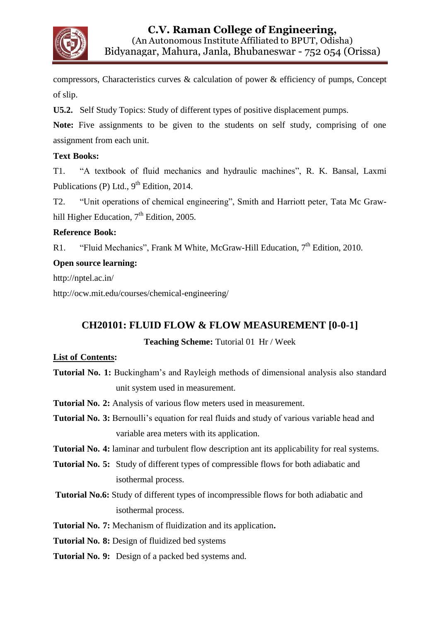

compressors, Characteristics curves & calculation of power & efficiency of pumps, Concept of slip.

**U5.2.** Self Study Topics: Study of different types of positive displacement pumps.

Note: Five assignments to be given to the students on self study, comprising of one assignment from each unit.

#### **Text Books:**

T1. "A textbook of fluid mechanics and hydraulic machines", R. K. Bansal, Laxmi Publications (P) Ltd.,  $9<sup>th</sup>$  Edition, 2014.

T2. "Unit operations of chemical engineering", Smith and Harriott peter, Tata Mc Grawhill Higher Education,  $7<sup>th</sup>$  Edition, 2005.

#### **Reference Book:**

R1. "Fluid Mechanics", Frank M White, McGraw-Hill Education,  $7<sup>th</sup>$  Edition, 2010.

#### **Open source learning:**

http://nptel.ac.in/

<http://ocw.mit.edu/courses/chemical-engineering/>

### **CH20101: FLUID FLOW & FLOW MEASUREMENT [0-0-1]**

#### **Teaching Scheme:** Tutorial 01 Hr / Week

#### **List of Contents:**

- **Tutorial No. 1:** Buckingham's and Rayleigh methods of dimensional analysis also standard unit system used in measurement.
- **Tutorial No. 2:** Analysis of various flow meters used in measurement.
- **Tutorial No. 3:** Bernoulli's equation for real fluids and study of various variable head and variable area meters with its application.
- **Tutorial No. 4:** laminar and turbulent flow description ant its applicability for real systems.
- **Tutorial No. 5:** Study of different types of compressible flows for both adiabatic and isothermal process.
- **Tutorial No.6:** Study of different types of incompressible flows for both adiabatic and isothermal process.
- **Tutorial No. 7:** Mechanism of fluidization and its application**.**
- **Tutorial No. 8:** Design of fluidized bed systems
- **Tutorial No. 9:** Design of a packed bed systems and.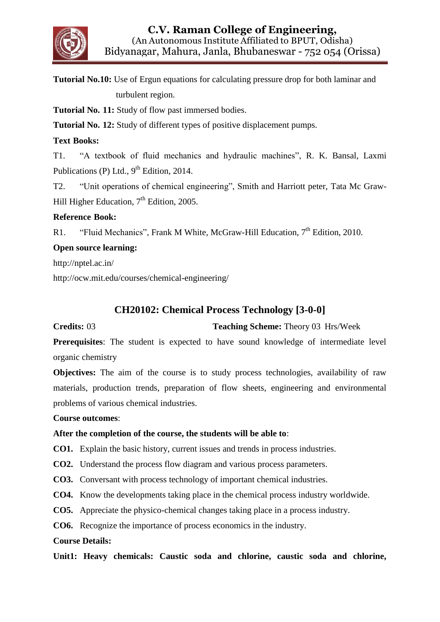

**Tutorial No.10:** Use of Ergun equations for calculating pressure drop for both laminar and turbulent region.

**Tutorial No. 11:** Study of flow past immersed bodies.

**Tutorial No. 12:** Study of different types of positive displacement pumps.

#### **Text Books:**

T1. "A textbook of fluid mechanics and hydraulic machines", R. K. Bansal, Laxmi Publications (P) Ltd.,  $9<sup>th</sup>$  Edition, 2014.

T2. "Unit operations of chemical engineering", Smith and Harriott peter, Tata Mc Graw-Hill Higher Education, 7<sup>th</sup> Edition, 2005.

#### **Reference Book:**

R1. "Fluid Mechanics", Frank M White, McGraw-Hill Education, 7<sup>th</sup> Edition, 2010.

#### **Open source learning:**

http://nptel.ac.in/

<http://ocw.mit.edu/courses/chemical-engineering/>

## **CH20102: Chemical Process Technology [3-0-0]**

**Credits:** 03 **Teaching Scheme:** Theory 03 Hrs/Week

**Prerequisites**: The student is expected to have sound knowledge of intermediate level organic chemistry

**Objectives:** The aim of the course is to study process technologies, availability of raw materials, production trends, preparation of flow sheets, engineering and environmental problems of various chemical industries.

#### **Course outcomes**:

#### **After the completion of the course, the students will be able to**:

**CO1.** Explain the basic history, current issues and trends in process industries.

**CO2.** Understand the process flow diagram and various process parameters.

**CO3.** Conversant with process technology of important chemical industries.

**CO4.** Know the developments taking place in the chemical process industry worldwide.

**CO5.** Appreciate the physico-chemical changes taking place in a process industry.

**CO6.** Recognize the importance of process economics in the industry.

#### **Course Details:**

**Unit1: Heavy chemicals: Caustic soda and chlorine, caustic soda and chlorine,**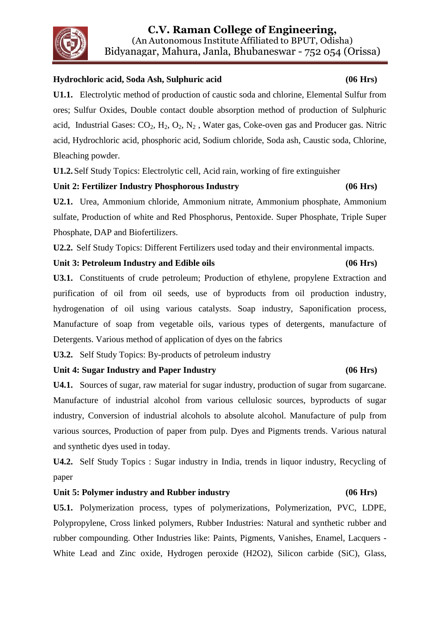# **C.V. Raman College of Engineering,**

(An Autonomous Institute Affiliated to BPUT, Odisha) Bidyanagar, Mahura, Janla, Bhubaneswar - 752 054 (Orissa)

#### **Hydrochloric acid, Soda Ash, Sulphuric acid (06 Hrs)**

**U1.1.** Electrolytic method of production of caustic soda and chlorine, Elemental Sulfur from ores; Sulfur Oxides, Double contact double absorption method of production of Sulphuric acid, Industrial Gases:  $CO_2$ ,  $H_2$ ,  $O_2$ ,  $N_2$ , Water gas, Coke-oven gas and Producer gas. Nitric acid, Hydrochloric acid, phosphoric acid, Sodium chloride, Soda ash, Caustic soda, Chlorine, Bleaching powder.

**U1.2.**Self Study Topics: Electrolytic cell, Acid rain, working of fire extinguisher

#### **Unit 2: Fertilizer Industry Phosphorous Industry (06 Hrs)**

**U2.1.** Urea, Ammonium chloride, Ammonium nitrate, Ammonium phosphate, Ammonium sulfate, Production of white and Red Phosphorus, Pentoxide. Super Phosphate, Triple Super Phosphate, DAP and Biofertilizers.

**U2.2.** Self Study Topics: Different Fertilizers used today and their environmental impacts.

#### **Unit 3: Petroleum Industry and Edible oils (06 Hrs)**

**U3.1.** Constituents of crude petroleum; Production of ethylene, propylene Extraction and purification of oil from oil seeds, use of byproducts from oil production industry, hydrogenation of oil using various catalysts. Soap industry, Saponification process, Manufacture of soap from vegetable oils, various types of detergents, manufacture of Detergents. Various method of application of dyes on the fabrics

**U3.2.** Self Study Topics: By-products of petroleum industry

#### **Unit 4: Sugar Industry and Paper Industry (06 Hrs)**

**U4.1.** Sources of sugar, raw material for sugar industry, production of sugar from sugarcane. Manufacture of industrial alcohol from various cellulosic sources, byproducts of sugar industry, Conversion of industrial alcohols to absolute alcohol. Manufacture of pulp from various sources, Production of paper from pulp. Dyes and Pigments trends. Various natural and synthetic dyes used in today.

**U4.2.** Self Study Topics : Sugar industry in India, trends in liquor industry, Recycling of paper

#### **Unit 5: Polymer industry and Rubber industry (06 Hrs)**

**U5.1.** Polymerization process, types of polymerizations, Polymerization, PVC, LDPE, Polypropylene, Cross linked polymers, Rubber Industries: Natural and synthetic rubber and rubber compounding. Other Industries like: Paints, Pigments, Vanishes, Enamel, Lacquers - White Lead and Zinc oxide, Hydrogen peroxide (H2O2), Silicon carbide (SiC), Glass,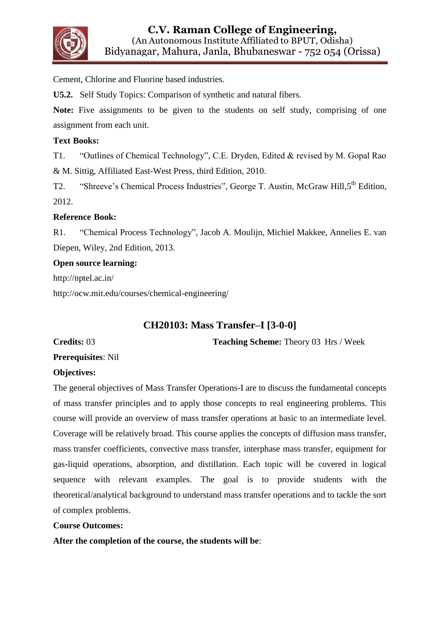

Cement, Chlorine and Fluorine based industries.

**U5.2.** Self Study Topics: Comparison of synthetic and natural fibers.

Note: Five assignments to be given to the students on self study, comprising of one assignment from each unit.

#### **Text Books:**

T1. "Outlines of Chemical Technology", C.E. Dryden, Edited & revised by M. Gopal Rao & M. Sittig, Affiliated East-West Press, third Edition, 2010.

T2. "Shreeve's Chemical Process Industries", George T. Austin, McGraw Hill, 5<sup>th</sup> Edition, 2012.

#### **Reference Book:**

R1. "Chemical Process Technology", Jacob A. Moulijn, Michiel Makkee, Annelies E. van Diepen, Wiley, 2nd Edition, 2013.

#### **Open source learning:**

http://nptel.ac.in/

<http://ocw.mit.edu/courses/chemical-engineering/>

## **CH20103: Mass Transfer–I [3-0-0]**

**Credits: 03 Teaching Scheme: Theory 03 Hrs / Week** 

**Prerequisites**: Nil

#### **Objectives:**

The general objectives of Mass Transfer Operations-I are to discuss the fundamental concepts of mass transfer principles and to apply those concepts to real engineering problems. This course will provide an overview of mass transfer operations at basic to an intermediate level. Coverage will be relatively broad. This course applies the concepts of diffusion mass transfer, mass transfer coefficients, convective mass transfer, interphase mass transfer, equipment for gas-liquid operations, absorption, and distillation. Each topic will be covered in logical sequence with relevant examples. The goal is to provide students with the theoretical/analytical background to understand mass transfer operations and to tackle the sort of complex problems.

#### **Course Outcomes:**

**After the completion of the course, the students will be**: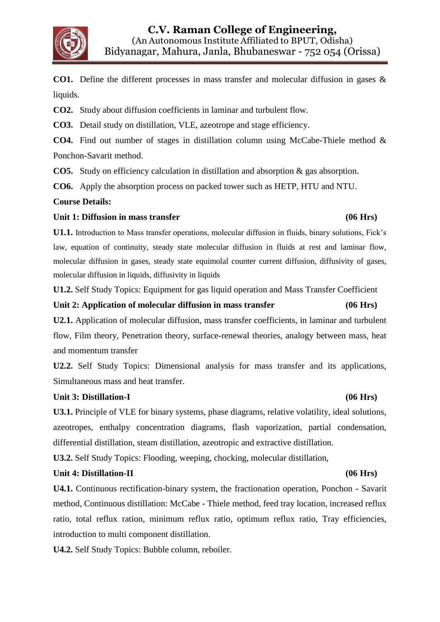

**CO1.** Define the different processes in mass transfer and molecular diffusion in gases & liquids.

**CO2.** Study about diffusion coefficients in laminar and turbulent flow.

**CO3.** Detail study on distillation, VLE, azeotrope and stage efficiency.

**CO4.** Find out number of stages in distillation column using McCabe-Thiele method & Ponchon-Savarit method.

**CO5.** Study on efficiency calculation in distillation and absorption & gas absorption.

**CO6.** Apply the absorption process on packed tower such as HETP, HTU and NTU.

#### **Course Details:**

#### Unit 1: Diffusion in mass transfer **but a set of the set of the set of the set of the set of the set of the set of the set of the set of the set of the set of the set of the set of the set of the set of the set of the set**

**U1.1.** Introduction to Mass transfer operations, molecular diffusion in fluids, binary solutions, Fick's law, equation of continuity, steady state molecular diffusion in fluids at rest and laminar flow, molecular diffusion in gases, steady state equimolal counter current diffusion, diffusivity of gases, molecular diffusion in liquids, diffusivity in liquids

**U1.2.** Self Study Topics: Equipment for gas liquid operation and Mass Transfer Coefficient

#### **Unit 2: Application of molecular diffusion in mass transfer (06 Hrs)**

**U2.1.** Application of molecular diffusion, mass transfer coefficients, in laminar and turbulent flow, Film theory, Penetration theory, surface-renewal theories, analogy between mass, heat and momentum transfer

**U2.2.** Self Study Topics: Dimensional analysis for mass transfer and its applications, Simultaneous mass and heat transfer.

#### **Unit 3: Distillation-I (06 Hrs)**

**U3.1.** Principle of VLE for binary systems, phase diagrams, relative volatility, ideal solutions, azeotropes, enthalpy concentration diagrams, flash vaporization, partial condensation, differential distillation, steam distillation, azeotropic and extractive distillation.

**U3.2.** Self Study Topics: Flooding, weeping, chocking, molecular distillation,

#### **Unit 4: Distillation-II (06 Hrs)**

**U4.1.** Continuous rectification-binary system, the fractionation operation, Ponchon - Savarit method, Continuous distillation: McCabe - Thiele method, feed tray location, increased reflux ratio, total reflux ration, minimum reflux ratio, optimum reflux ratio, Tray efficiencies, introduction to multi component distillation.

**U4.2.** Self Study Topics: Bubble column, reboiler.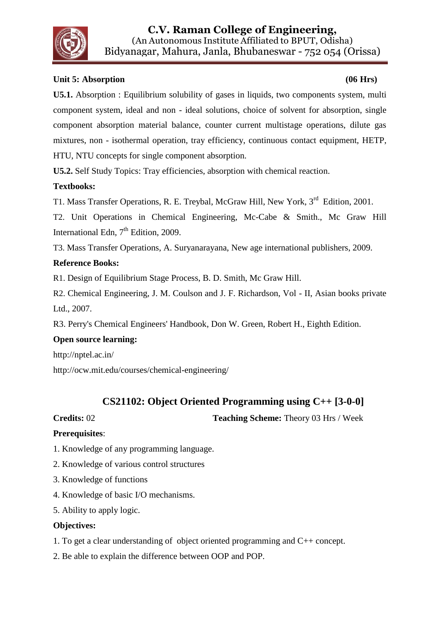

### **Unit 5: Absorption (06 Hrs)**

**U5.1.** Absorption : Equilibrium solubility of gases in liquids, two components system, multi component system, ideal and non - ideal solutions, choice of solvent for absorption, single component absorption material balance, counter current multistage operations, dilute gas mixtures, non - isothermal operation, tray efficiency, continuous contact equipment, HETP, HTU, NTU concepts for single component absorption.

**U5.2.** Self Study Topics: Tray efficiencies, absorption with chemical reaction.

### **Textbooks:**

T1. Mass Transfer Operations, R. E. Treybal, McGraw Hill, New York, 3<sup>rd</sup> Edition, 2001.

T2. Unit Operations in Chemical Engineering, Mc-Cabe & Smith., Mc Graw Hill International Edn,  $7<sup>th</sup>$  Edition, 2009.

T3. Mass Transfer Operations, A. Suryanarayana, New age international publishers, 2009.

#### **Reference Books:**

R1. Design of Equilibrium Stage Process, B. D. Smith, Mc Graw Hill.

R2. Chemical Engineering, J. M. Coulson and J. F. Richardson, Vol - II, Asian books private Ltd., 2007.

R3. Perry's Chemical Engineers' Handbook, Don W. Green, Robert H., Eighth Edition.

#### **Open source learning:**

http://nptel.ac.in/

<http://ocw.mit.edu/courses/chemical-engineering/>

## **CS21102: Object Oriented Programming using C++ [3-0-0]**

**Credits: 02 Teaching Scheme:** Theory 03 Hrs / Week

#### **Prerequisites**:

- 1. Knowledge of any programming language.
- 2. Knowledge of various control structures
- 3. Knowledge of functions
- 4. Knowledge of basic I/O mechanisms.
- 5. Ability to apply logic.

#### **Objectives:**

- 1. To get a clear understanding of object oriented programming and C++ concept.
- 2. Be able to explain the difference between OOP and POP.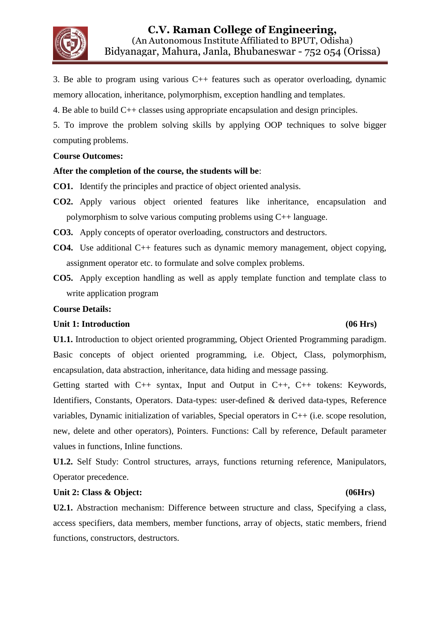

3. Be able to program using various C++ features such as operator overloading, dynamic memory allocation, inheritance, polymorphism, exception handling and templates.

4. Be able to build C++ classes using appropriate encapsulation and design principles.

5. To improve the problem solving skills by applying OOP techniques to solve bigger computing problems.

#### **Course Outcomes:**

#### **After the completion of the course, the students will be**:

- **CO1.** Identify the principles and practice of object oriented analysis.
- **CO2.** Apply various object oriented features like inheritance, encapsulation and polymorphism to solve various computing problems using C++ language.

**CO3.** Apply concepts of operator overloading, constructors and destructors.

- **CO4.** Use additional C++ features such as dynamic memory management, object copying, assignment operator etc. to formulate and solve complex problems.
- **CO5.** Apply exception handling as well as apply template function and template class to write application program

#### **Course Details:**

#### **Unit 1: Introduction (06 Hrs)**

**U1.1.** Introduction to object oriented programming, Object Oriented Programming paradigm. Basic concepts of object oriented programming, i.e. Object, Class, polymorphism, encapsulation, data abstraction, inheritance, data hiding and message passing.

Getting started with C++ syntax, Input and Output in C++, C++ tokens: Keywords, Identifiers, Constants, Operators. Data-types: user-defined & derived data-types, Reference variables, Dynamic initialization of variables, Special operators in C++ (i.e. scope resolution, new, delete and other operators), Pointers. Functions: Call by reference, Default parameter values in functions, Inline functions.

**U1.2.** Self Study: Control structures, arrays, functions returning reference, Manipulators, Operator precedence.

#### Unit 2: Class & Object: (06Hrs)

**U2.1.** Abstraction mechanism: Difference between structure and class, Specifying a class, access specifiers, data members, member functions, array of objects, static members, friend functions, constructors, destructors.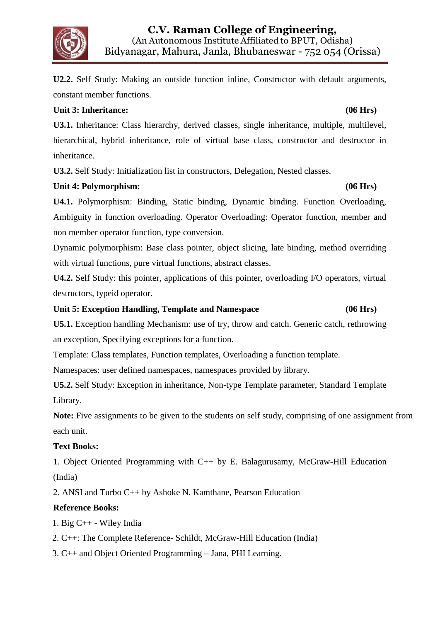**U2.2.** Self Study: Making an outside function inline, Constructor with default arguments, constant member functions.

## **Unit 3: Inheritance: (06 Hrs)**

**U3.1.** Inheritance: Class hierarchy, derived classes, single inheritance, multiple, multilevel, hierarchical, hybrid inheritance, role of virtual base class, constructor and destructor in inheritance.

**U3.2.** Self Study: Initialization list in constructors, Delegation, Nested classes.

### **Unit 4: Polymorphism: (06 Hrs)**

**U4.1.** Polymorphism: Binding, Static binding, Dynamic binding. Function Overloading, Ambiguity in function overloading. Operator Overloading: Operator function, member and non member operator function, type conversion.

Dynamic polymorphism: Base class pointer, object slicing, late binding, method overriding with virtual functions, pure virtual functions, abstract classes.

**U4.2.** Self Study: this pointer, applications of this pointer, overloading I/O operators, virtual destructors, typeid operator.

### **Unit 5: Exception Handling, Template and Namespace (06 Hrs)**

**U5.1.** Exception handling Mechanism: use of try, throw and catch. Generic catch, rethrowing an exception, Specifying exceptions for a function.

Template: Class templates, Function templates, Overloading a function template.

Namespaces: user defined namespaces, namespaces provided by library.

**U5.2.** Self Study: Exception in inheritance, Non-type Template parameter, Standard Template Library.

**Note:** Five assignments to be given to the students on self study, comprising of one assignment from each unit.

### **Text Books:**

1. Object Oriented Programming with C++ by E. Balagurusamy, McGraw-Hill Education (India)

2. ANSI and Turbo C++ by Ashoke N. Kamthane, Pearson Education

### **Reference Books:**

1. Big C++ - Wiley India

- 2. C++: The Complete Reference- Schildt, McGraw-Hill Education (India)
- 3. C++ and Object Oriented Programming Jana, PHI Learning.

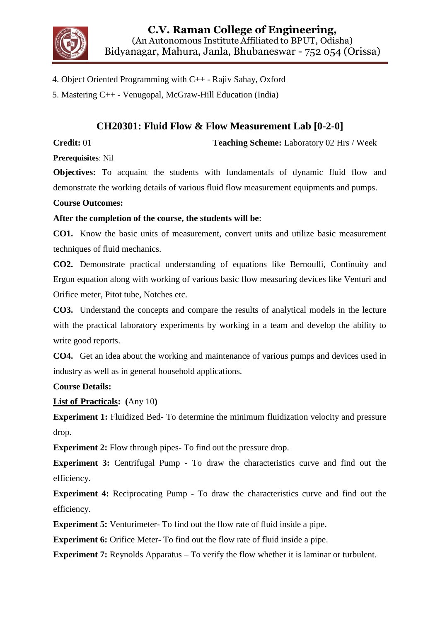

- 4. Object Oriented Programming with C++ Rajiv Sahay, Oxford
- 5. Mastering C++ Venugopal, McGraw-Hill Education (India)

## **CH20301: Fluid Flow & Flow Measurement Lab [0-2-0]**

**Credit:** 01 **Teaching Scheme:** Laboratory 02 Hrs / Week

**Prerequisites**: Nil

**Objectives:** To acquaint the students with fundamentals of dynamic fluid flow and demonstrate the working details of various fluid flow measurement equipments and pumps.

#### **Course Outcomes:**

#### **After the completion of the course, the students will be**:

**CO1.** Know the basic units of measurement, convert units and utilize basic measurement techniques of fluid mechanics.

**CO2.** Demonstrate practical understanding of equations like Bernoulli, Continuity and Ergun equation along with working of various basic flow measuring devices like Venturi and Orifice meter, Pitot tube, Notches etc.

**CO3.** Understand the concepts and compare the results of analytical models in the lecture with the practical laboratory experiments by working in a team and develop the ability to write good reports.

**CO4.** Get an idea about the working and maintenance of various pumps and devices used in industry as well as in general household applications.

#### **Course Details:**

**List of Practicals: (**Any 10**)**

**Experiment 1:** Fluidized Bed-To determine the minimum fluidization velocity and pressure drop.

**Experiment 2:** Flow through pipes- To find out the pressure drop.

**Experiment 3:** Centrifugal Pump - To draw the characteristics curve and find out the efficiency.

**Experiment 4:** Reciprocating Pump - To draw the characteristics curve and find out the efficiency.

**Experiment 5:** Venturimeter- To find out the flow rate of fluid inside a pipe.

**Experiment 6:** Orifice Meter-To find out the flow rate of fluid inside a pipe.

**Experiment 7:** Reynolds Apparatus – To verify the flow whether it is laminar or turbulent.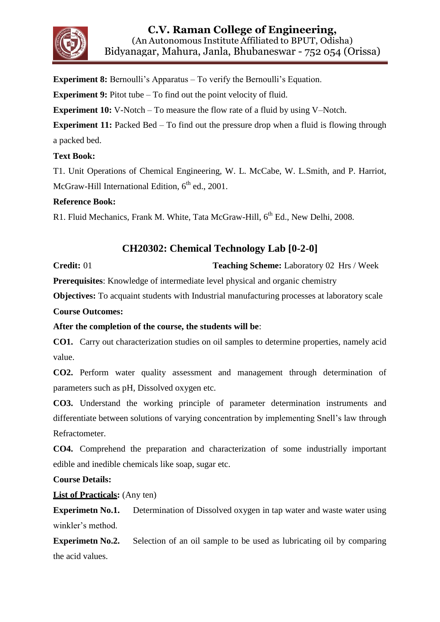

**Experiment 8:** Bernoulli's Apparatus – To verify the Bernoulli's Equation.

**Experiment 9:** Pitot tube – To find out the point velocity of fluid.

**Experiment 10:** V-Notch – To measure the flow rate of a fluid by using V–Notch.

**Experiment 11:** Packed Bed – To find out the pressure drop when a fluid is flowing through a packed bed.

#### **Text Book:**

T1. Unit Operations of Chemical Engineering, W. L. McCabe, W. L.Smith, and P. Harriot, McGraw-Hill International Edition,  $6<sup>th</sup>$  ed., 2001.

#### **Reference Book:**

R1. Fluid Mechanics, Frank M. White, Tata McGraw-Hill, 6<sup>th</sup> Ed., New Delhi, 2008.

## **CH20302: Chemical Technology Lab [0-2-0]**

**Credit:** 01 **Teaching Scheme:** Laboratory 02 Hrs / Week

**Prerequisites**: Knowledge of intermediate level physical and organic chemistry

**Objectives:** To acquaint students with Industrial manufacturing processes at laboratory scale

**Course Outcomes:**

#### **After the completion of the course, the students will be**:

**CO1.** Carry out characterization studies on oil samples to determine properties, namely acid value.

**CO2.** Perform water quality assessment and management through determination of parameters such as pH, Dissolved oxygen etc.

**CO3.** Understand the working principle of parameter determination instruments and differentiate between solutions of varying concentration by implementing Snell's law through Refractometer.

**CO4.** Comprehend the preparation and characterization of some industrially important edible and inedible chemicals like soap, sugar etc.

**Course Details:**

#### **List of Practicals:** (Any ten)

**Experimetn No.1.** Determination of Dissolved oxygen in tap water and waste water using winkler's method.

**Experimetn No.2.** Selection of an oil sample to be used as lubricating oil by comparing the acid values.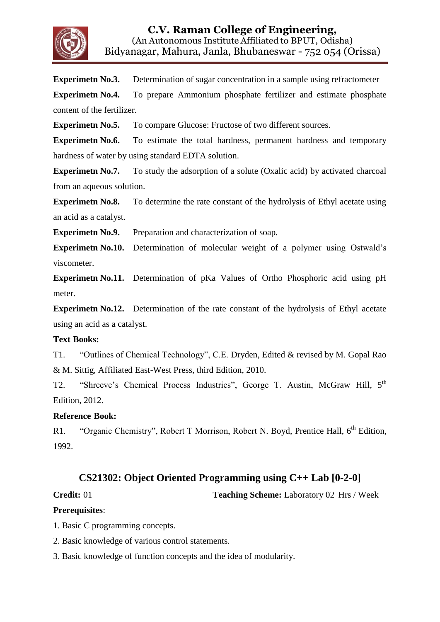

**Experimetn No.3.** Determination of sugar concentration in a sample using refractometer

**Experimetn No.4.** To prepare Ammonium phosphate fertilizer and estimate phosphate content of the fertilizer.

**Experimetn No.5.** To compare Glucose: Fructose of two different sources.

**Experimetn No.6.** To estimate the total hardness, permanent hardness and temporary hardness of water by using standard EDTA solution.

**Experimetn No.7.** To study the adsorption of a solute (Oxalic acid) by activated charcoal from an aqueous solution.

**Experimetn No.8.** To determine the rate constant of the hydrolysis of Ethyl acetate using an acid as a catalyst.

**Experimetn No.9.** Preparation and characterization of soap.

**Experimetn No.10.** Determination of molecular weight of a polymer using Ostwald's viscometer.

**Experimetn No.11.** Determination of pKa Values of Ortho Phosphoric acid using pH meter.

**Experimetn No.12.** Determination of the rate constant of the hydrolysis of Ethyl acetate using an acid as a catalyst.

#### **Text Books:**

T1. "Outlines of Chemical Technology", C.E. Dryden, Edited & revised by M. Gopal Rao & M. Sittig, Affiliated East-West Press, third Edition, 2010.

T2. "Shreeve's Chemical Process Industries", George T. Austin, McGraw Hill, 5<sup>th</sup> Edition, 2012.

#### **Reference Book:**

R1. "Organic Chemistry", Robert T Morrison, Robert N. Boyd, Prentice Hall, 6<sup>th</sup> Edition, 1992.

### **CS21302: Object Oriented Programming using C++ Lab [0-2-0]**

**Credit:** 01 **Teaching Scheme:** Laboratory 02 Hrs / Week

#### **Prerequisites**:

1. Basic C programming concepts.

- 2. Basic knowledge of various control statements.
- 3. Basic knowledge of function concepts and the idea of modularity.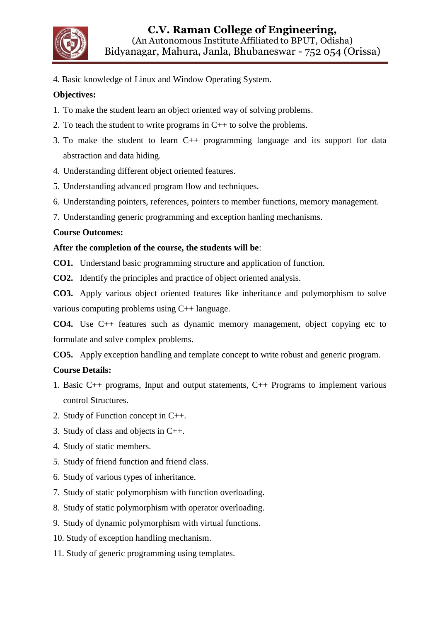

4. Basic knowledge of Linux and Window Operating System.

#### **Objectives:**

- 1. To make the student learn an object oriented way of solving problems.
- 2. To teach the student to write programs in C++ to solve the problems.
- 3. To make the student to learn C++ programming language and its support for data abstraction and data hiding.
- 4. Understanding different object oriented features.
- 5. Understanding advanced program flow and techniques.
- 6. Understanding pointers, references, pointers to member functions, memory management.
- 7. Understanding generic programming and exception hanling mechanisms.

#### **Course Outcomes:**

#### **After the completion of the course, the students will be**:

**CO1.** Understand basic programming structure and application of function.

**CO2.** Identify the principles and practice of object oriented analysis.

**CO3.** Apply various object oriented features like inheritance and polymorphism to solve various computing problems using C++ language.

**CO4.** Use C++ features such as dynamic memory management, object copying etc to formulate and solve complex problems.

**CO5.** Apply exception handling and template concept to write robust and generic program.

#### **Course Details:**

- 1. Basic C++ programs, Input and output statements, C++ Programs to implement various control Structures.
- 2. Study of Function concept in C++.
- 3. Study of class and objects in C++.
- 4. Study of static members.
- 5. Study of friend function and friend class.
- 6. Study of various types of inheritance.
- 7. Study of static polymorphism with function overloading.
- 8. Study of static polymorphism with operator overloading.
- 9. Study of dynamic polymorphism with virtual functions.
- 10. Study of exception handling mechanism.
- 11. Study of generic programming using templates.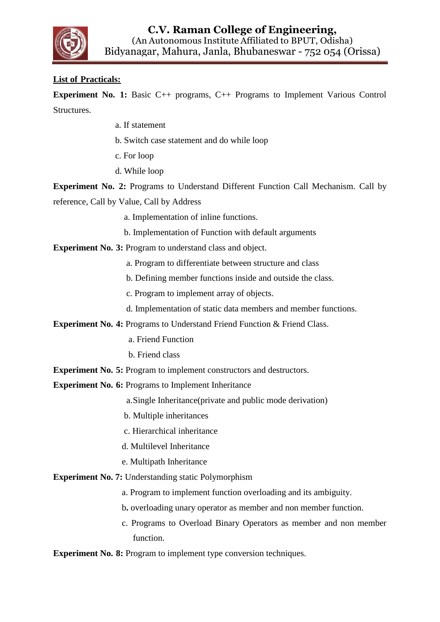

#### **List of Practicals:**

**Experiment No. 1:** Basic C++ programs, C++ Programs to Implement Various Control Structures.

- a. If statement
- b. Switch case statement and do while loop
- c. For loop
- d. While loop

**Experiment No. 2:** Programs to Understand Different Function Call Mechanism. Call by reference, Call by Value, Call by Address

- a. Implementation of inline functions.
- b. Implementation of Function with default arguments

**Experiment No. 3: Program to understand class and object.** 

- a. Program to differentiate between structure and class
- b. Defining member functions inside and outside the class.
- c. Program to implement array of objects.
- d. Implementation of static data members and member functions.

**Experiment No. 4: Programs to Understand Friend Function & Friend Class.** 

- a. Friend Function
- b. Friend class
- **Experiment No. 5: Program to implement constructors and destructors.**

**Experiment No. 6: Programs to Implement Inheritance** 

a.Single Inheritance(private and public mode derivation)

- b. Multiple inheritances
- c. Hierarchical inheritance
- d. Multilevel Inheritance
- e. Multipath Inheritance

**Experiment No. 7:** Understanding static Polymorphism

- a. Program to implement function overloading and its ambiguity.
- b**.** overloading unary operator as member and non member function.
- c. Programs to Overload Binary Operators as member and non member function.

**Experiment No. 8:** Program to implement type conversion techniques.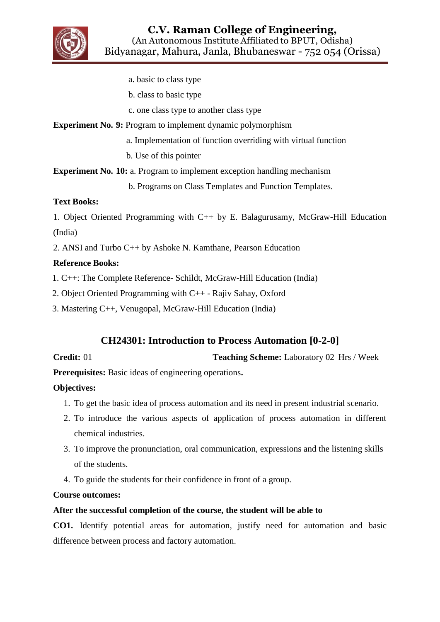

- a. basic to class type
- b. class to basic type
- c. one class type to another class type

**Experiment No. 9:** Program to implement dynamic polymorphism

- a. Implementation of function overriding with virtual function
- b. Use of this pointer

**Experiment No. 10:** a. Program to implement exception handling mechanism

b. Programs on Class Templates and Function Templates.

#### **Text Books:**

1. Object Oriented Programming with C++ by E. Balagurusamy, McGraw-Hill Education (India)

2. ANSI and Turbo C++ by Ashoke N. Kamthane, Pearson Education

### **Reference Books:**

1. C++: The Complete Reference- Schildt, McGraw-Hill Education (India)

2. Object Oriented Programming with C++ - Rajiv Sahay, Oxford

3. Mastering C++, Venugopal, McGraw-Hill Education (India)

## **CH24301: Introduction to Process Automation [0-2-0]**

**Credit:** 01 **Teaching Scheme:** Laboratory 02 Hrs / Week

**Prerequisites:** Basic ideas of engineering operations**.**

### **Objectives:**

- 1. To get the basic idea of process automation and its need in present industrial scenario.
- 2. To introduce the various aspects of application of process automation in different chemical industries.
- 3. To improve the pronunciation, oral communication, expressions and the listening skills of the students.
- 4. To guide the students for their confidence in front of a group.

#### **Course outcomes:**

#### **After the successful completion of the course, the student will be able to**

**CO1.** Identify potential areas for automation, justify need for automation and basic difference between process and factory automation.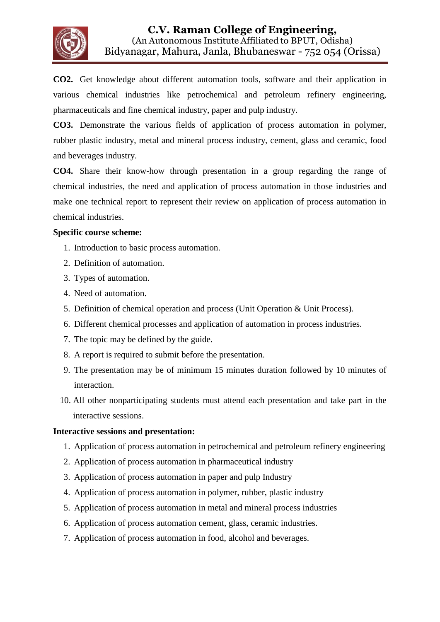

**CO2.** Get knowledge about different automation tools, software and their application in various chemical industries like petrochemical and petroleum refinery engineering, pharmaceuticals and fine chemical industry, paper and pulp industry.

**CO3.** Demonstrate the various fields of application of process automation in polymer, rubber plastic industry, metal and mineral process industry, cement, glass and ceramic, food and beverages industry.

**CO4.** Share their know-how through presentation in a group regarding the range of chemical industries, the need and application of process automation in those industries and make one technical report to represent their review on application of process automation in chemical industries.

#### **Specific course scheme:**

- 1. Introduction to basic process automation.
- 2. Definition of automation.
- 3. Types of automation.
- 4. Need of automation.
- 5. Definition of chemical operation and process (Unit Operation & Unit Process).
- 6. Different chemical processes and application of automation in process industries.
- 7. The topic may be defined by the guide.
- 8. A report is required to submit before the presentation.
- 9. The presentation may be of minimum 15 minutes duration followed by 10 minutes of interaction.
- 10. All other nonparticipating students must attend each presentation and take part in the interactive sessions.

#### **Interactive sessions and presentation:**

- 1. Application of process automation in petrochemical and petroleum refinery engineering
- 2. Application of process automation in pharmaceutical industry
- 3. Application of process automation in paper and pulp Industry
- 4. Application of process automation in polymer, rubber, plastic industry
- 5. Application of process automation in metal and mineral process industries
- 6. Application of process automation cement, glass, ceramic industries.
- 7. Application of process automation in food, alcohol and beverages.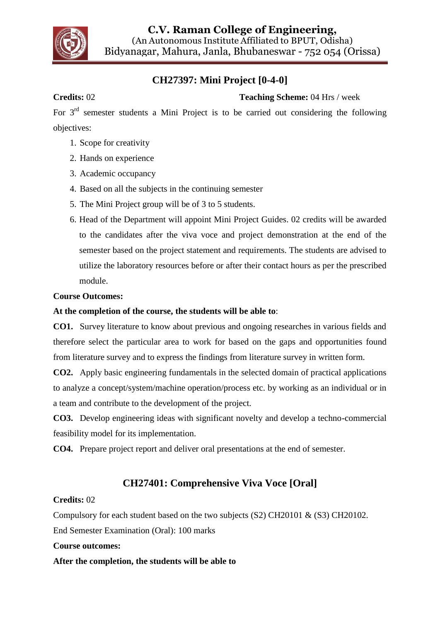

**C.V. Raman College of Engineering,** (An Autonomous Institute Affiliated to BPUT, Odisha) Bidyanagar, Mahura, Janla, Bhubaneswar - 752 054 (Orissa)

## **CH27397: Mini Project [0-4-0]**

### **Credits: 02 Teaching Scheme:** 04 Hrs / week

For 3rd semester students a Mini Project is to be carried out considering the following objectives:

- 1. Scope for creativity
- 2. Hands on experience
- 3. Academic occupancy
- 4. Based on all the subjects in the continuing semester
- 5. The Mini Project group will be of 3 to 5 students.
- 6. Head of the Department will appoint Mini Project Guides. 02 credits will be awarded to the candidates after the viva voce and project demonstration at the end of the semester based on the project statement and requirements. The students are advised to utilize the laboratory resources before or after their contact hours as per the prescribed module.

#### **Course Outcomes:**

#### **At the completion of the course, the students will be able to**:

**CO1.** Survey literature to know about previous and ongoing researches in various fields and therefore select the particular area to work for based on the gaps and opportunities found from literature survey and to express the findings from literature survey in written form.

**CO2.** Apply basic engineering fundamentals in the selected domain of practical applications to analyze a concept/system/machine operation/process etc. by working as an individual or in a team and contribute to the development of the project.

**CO3.** Develop engineering ideas with significant novelty and develop a techno-commercial feasibility model for its implementation.

**CO4.** Prepare project report and deliver oral presentations at the end of semester.

## **CH27401: Comprehensive Viva Voce [Oral]**

#### **Credits:** 02

Compulsory for each student based on the two subjects (S2) CH20101 & (S3) CH20102.

End Semester Examination (Oral): 100 marks

#### **Course outcomes:**

#### **After the completion, the students will be able to**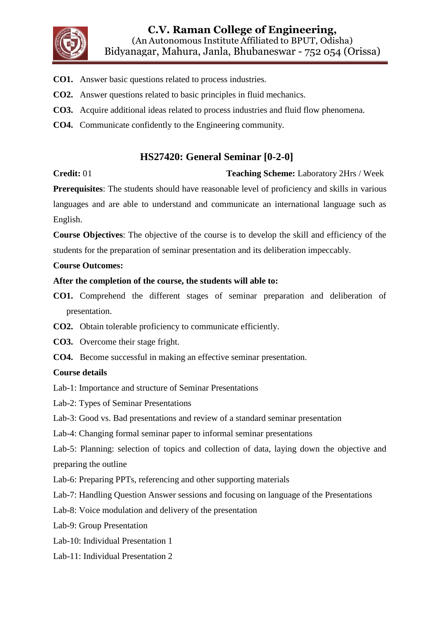

- **CO1.** Answer basic questions related to process industries.
- **CO2.** Answer questions related to basic principles in fluid mechanics.
- **CO3.** Acquire additional ideas related to process industries and fluid flow phenomena.
- **CO4.** Communicate confidently to the Engineering community.

## **HS27420: General Seminar [0-2-0]**

**Credit:** 01 **Teaching Scheme:** Laboratory 2Hrs / Week

**Prerequisites**: The students should have reasonable level of proficiency and skills in various languages and are able to understand and communicate an international language such as English.

**Course Objectives**: The objective of the course is to develop the skill and efficiency of the students for the preparation of seminar presentation and its deliberation impeccably.

#### **Course Outcomes:**

#### **After the completion of the course, the students will able to:**

- **CO1.** Comprehend the different stages of seminar preparation and deliberation of presentation.
- **CO2.** Obtain tolerable proficiency to communicate efficiently.
- **CO3.** Overcome their stage fright.
- **CO4.** Become successful in making an effective seminar presentation.

#### **Course details**

Lab-1: Importance and structure of Seminar Presentations

- Lab-2: Types of Seminar Presentations
- Lab-3: Good vs. Bad presentations and review of a standard seminar presentation
- Lab-4: Changing formal seminar paper to informal seminar presentations

Lab-5: Planning: selection of topics and collection of data, laying down the objective and preparing the outline

Lab-6: Preparing PPTs, referencing and other supporting materials

Lab-7: Handling Question Answer sessions and focusing on language of the Presentations

Lab-8: Voice modulation and delivery of the presentation

Lab-9: Group Presentation

Lab-10: Individual Presentation 1

Lab-11: Individual Presentation 2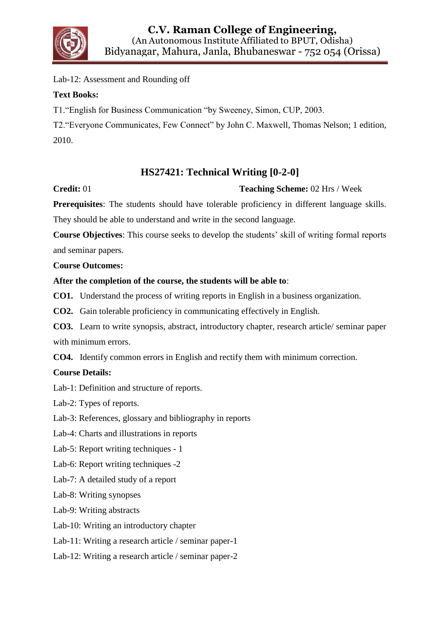

Lab-12: Assessment and Rounding off

#### **Text Books:**

T1."English for Business Communication "by Sweeney, Simon, CUP, 2003.

T2."Everyone Communicates, Few Connect" by John C. Maxwell, Thomas Nelson; 1 edition, 2010.

## **HS27421: Technical Writing [0-2-0]**

### **Credit:** 01 **Teaching Scheme:** 02 Hrs / Week

**Prerequisites**: The students should have tolerable proficiency in different language skills. They should be able to understand and write in the second language.

**Course Objectives**: This course seeks to develop the students' skill of writing formal reports and seminar papers.

#### **Course Outcomes:**

#### **After the completion of the course, the students will be able to**:

**CO1.** Understand the process of writing reports in English in a business organization.

**CO2.** Gain tolerable proficiency in communicating effectively in English.

**CO3.** Learn to write synopsis, abstract, introductory chapter, research article/ seminar paper with minimum errors.

**CO4.** Identify common errors in English and rectify them with minimum correction.

#### **Course Details:**

Lab-1: Definition and structure of reports.

Lab-2: Types of reports.

Lab-3: References, glossary and bibliography in reports

Lab-4: Charts and illustrations in reports

Lab-5: Report writing techniques - 1

Lab-6: Report writing techniques -2

Lab-7: A detailed study of a report

Lab-8: Writing synopses

Lab-9: Writing abstracts

Lab-10: Writing an introductory chapter

Lab-11: Writing a research article / seminar paper-1

Lab-12: Writing a research article / seminar paper-2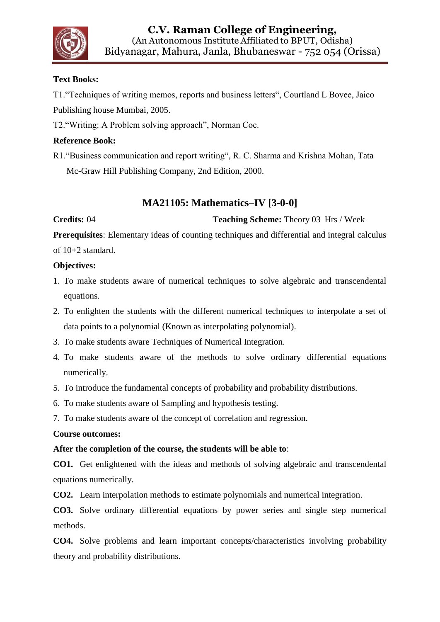

### **Text Books:**

T1."Techniques of writing memos, reports and business letters", Courtland L Bovee, Jaico Publishing house Mumbai, 2005.

T2."Writing: A Problem solving approach", Norman Coe.

#### **Reference Book:**

R1."Business communication and report writing", R. C. Sharma and Krishna Mohan, Tata Mc-Graw Hill Publishing Company, 2nd Edition, 2000.

## **MA21105: Mathematics–IV [3-0-0]**

#### **Credits:** 04 **Teaching Scheme:** Theory 03 Hrs / Week

**Prerequisites**: Elementary ideas of counting techniques and differential and integral calculus of 10+2 standard.

#### **Objectives:**

- 1. To make students aware of numerical techniques to solve algebraic and transcendental equations.
- 2. To enlighten the students with the different numerical techniques to interpolate a set of data points to a polynomial (Known as interpolating polynomial).
- 3. To make students aware Techniques of Numerical Integration.
- 4. To make students aware of the methods to solve ordinary differential equations numerically.
- 5. To introduce the fundamental concepts of probability and probability distributions.
- 6. To make students aware of Sampling and hypothesis testing.
- 7. To make students aware of the concept of correlation and regression.

#### **Course outcomes:**

#### **After the completion of the course, the students will be able to**:

**CO1.** Get enlightened with the ideas and methods of solving algebraic and transcendental equations numerically.

**CO2.** Learn interpolation methods to estimate polynomials and numerical integration.

**CO3.** Solve ordinary differential equations by power series and single step numerical methods.

**CO4.** Solve problems and learn important concepts/characteristics involving probability theory and probability distributions.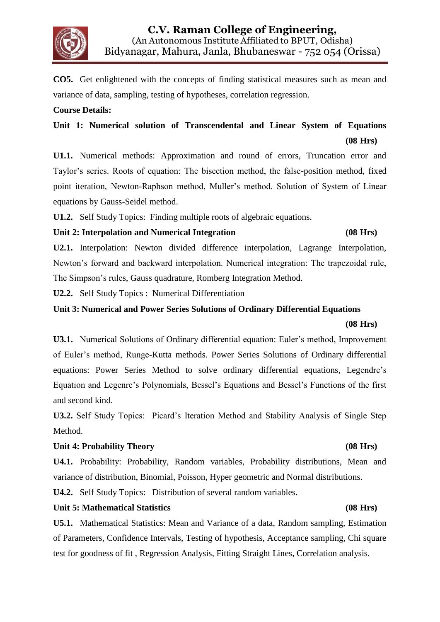

**CO5.** Get enlightened with the concepts of finding statistical measures such as mean and variance of data, sampling, testing of hypotheses, correlation regression.

#### **Course Details:**

## **Unit 1: Numerical solution of Transcendental and Linear System of Equations (08 Hrs)**

**U1.1.** Numerical methods: Approximation and round of errors, Truncation error and Taylor's series. Roots of equation: The bisection method, the false-position method, fixed point iteration, Newton-Raphson method, Muller's method. Solution of System of Linear equations by Gauss-Seidel method.

**U1.2.** Self Study Topics: Finding multiple roots of algebraic equations.

#### **Unit 2: Interpolation and Numerical Integration (08 Hrs)**

## **U2.1.** Interpolation: Newton divided difference interpolation, Lagrange Interpolation, Newton's forward and backward interpolation. Numerical integration: The trapezoidal rule, The Simpson's rules, Gauss quadrature, Romberg Integration Method.

**U2.2.** Self Study Topics : Numerical Differentiation

#### **Unit 3: Numerical and Power Series Solutions of Ordinary Differential Equations**

#### **(08 Hrs)**

**U3.1.** Numerical Solutions of Ordinary differential equation: Euler's method, Improvement of Euler's method, Runge-Kutta methods. Power Series Solutions of Ordinary differential equations: Power Series Method to solve ordinary differential equations, Legendre's Equation and Legenre's Polynomials, Bessel's Equations and Bessel's Functions of the first and second kind.

**U3.2.** Self Study Topics: Picard's Iteration Method and Stability Analysis of Single Step Method.

#### **Unit 4: Probability Theory (08 Hrs)**

**U4.1.** Probability: Probability, Random variables, Probability distributions, Mean and variance of distribution, Binomial, Poisson, Hyper geometric and Normal distributions.

**U4.2.** Self Study Topics: Distribution of several random variables.

#### **Unit 5: Mathematical Statistics (08 Hrs)**

**U5.1.** Mathematical Statistics: Mean and Variance of a data, Random sampling, Estimation of Parameters, Confidence Intervals, Testing of hypothesis, Acceptance sampling, Chi square test for goodness of fit , Regression Analysis, Fitting Straight Lines, Correlation analysis.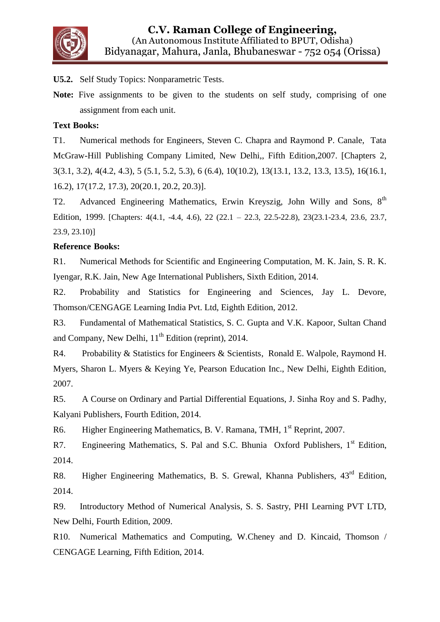

**U5.2.** Self Study Topics: Nonparametric Tests.

**Note:** Five assignments to be given to the students on self study, comprising of one assignment from each unit.

#### **Text Books:**

T1. Numerical methods for Engineers, Steven C. Chapra and Raymond P. Canale, Tata McGraw-Hill Publishing Company Limited, New Delhi,, Fifth Edition,2007. [Chapters 2, 3(3.1, 3.2), 4(4.2, 4.3), 5 (5.1, 5.2, 5.3), 6 (6.4), 10(10.2), 13(13.1, 13.2, 13.3, 13.5), 16(16.1, 16.2), 17(17.2, 17.3), 20(20.1, 20.2, 20.3)].

T2. Advanced Engineering Mathematics, Erwin Kreyszig, John Willy and Sons, 8<sup>th</sup> Edition, 1999. [Chapters: 4(4.1, -4.4, 4.6), 22 (22.1 – 22.3, 22.5-22.8), 23(23.1-23.4, 23.6, 23.7, 23.9, 23.10)]

#### **Reference Books:**

R1. Numerical Methods for Scientific and Engineering Computation, M. K. Jain, S. R. K. Iyengar, R.K. Jain, New Age International Publishers, Sixth Edition, 2014.

R2. Probability and Statistics for Engineering and Sciences, Jay L. Devore, Thomson/CENGAGE Learning India Pvt. Ltd, Eighth Edition, 2012.

R3. Fundamental of Mathematical Statistics, S. C. Gupta and V.K. Kapoor, Sultan Chand and Company, New Delhi,  $11<sup>th</sup>$  Edition (reprint), 2014.

R4. Probability & Statistics for Engineers & Scientists, Ronald E. Walpole, Raymond H. Myers, Sharon L. Myers & Keying Ye, Pearson Education Inc., New Delhi, Eighth Edition, 2007.

R5. A Course on Ordinary and Partial Differential Equations, J. Sinha Roy and S. Padhy, Kalyani Publishers, Fourth Edition, 2014.

R6. Higher Engineering Mathematics, B. V. Ramana, TMH, 1<sup>st</sup> Reprint, 2007.

R7. Engineering Mathematics, S. Pal and S.C. Bhunia  $Ox$  Publishers,  $1<sup>st</sup>$  Edition, 2014.

R8. Higher Engineering Mathematics, B. S. Grewal, Khanna Publishers, 43<sup>rd</sup> Edition, 2014.

R9. Introductory Method of Numerical Analysis, S. S. Sastry, PHI Learning PVT LTD, New Delhi, Fourth Edition, 2009.

R10. Numerical Mathematics and Computing, W.Cheney and D. Kincaid, Thomson / CENGAGE Learning, Fifth Edition, 2014.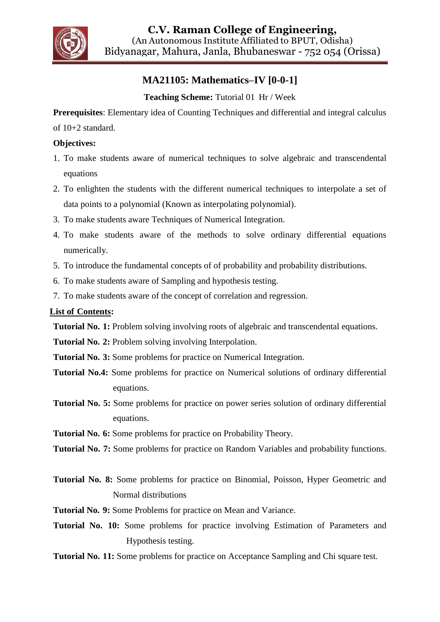

## **MA21105: Mathematics–IV [0-0-1]**

### **Teaching Scheme:** Tutorial 01 Hr / Week

**Prerequisites**: Elementary idea of Counting Techniques and differential and integral calculus

of 10+2 standard.

#### **Objectives:**

- 1. To make students aware of numerical techniques to solve algebraic and transcendental equations
- 2. To enlighten the students with the different numerical techniques to interpolate a set of data points to a polynomial (Known as interpolating polynomial).
- 3. To make students aware Techniques of Numerical Integration.
- 4. To make students aware of the methods to solve ordinary differential equations numerically.
- 5. To introduce the fundamental concepts of of probability and probability distributions.
- 6. To make students aware of Sampling and hypothesis testing.
- 7. To make students aware of the concept of correlation and regression.

### **List of Contents:**

**Tutorial No. 1:** Problem solving involving roots of algebraic and transcendental equations.

**Tutorial No. 2:** Problem solving involving Interpolation.

- **Tutorial No. 3:** Some problems for practice on Numerical Integration.
- **Tutorial No.4:** Some problems for practice on Numerical solutions of ordinary differential equations.
- **Tutorial No. 5:** Some problems for practice on power series solution of ordinary differential equations.
- **Tutorial No. 6:** Some problems for practice on Probability Theory.

**Tutorial No. 7:** Some problems for practice on Random Variables and probability functions.

- **Tutorial No. 8:** Some problems for practice on Binomial, Poisson, Hyper Geometric and Normal distributions
- **Tutorial No. 9:** Some Problems for practice on Mean and Variance.
- **Tutorial No. 10:** Some problems for practice involving Estimation of Parameters and Hypothesis testing.
- **Tutorial No. 11:** Some problems for practice on Acceptance Sampling and Chi square test.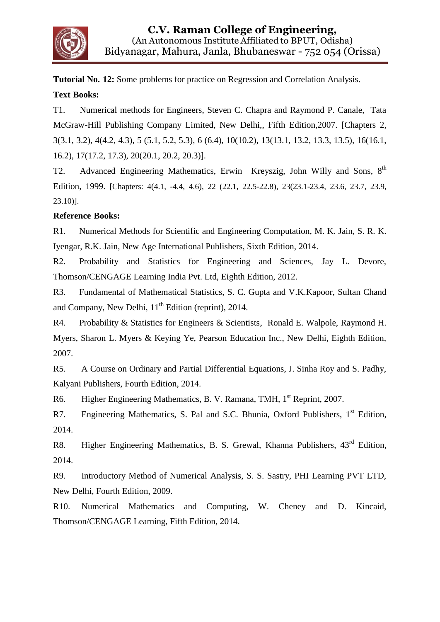

**Tutorial No. 12:** Some problems for practice on Regression and Correlation Analysis.

### **Text Books:**

T1. Numerical methods for Engineers, Steven C. Chapra and Raymond P. Canale, Tata McGraw-Hill Publishing Company Limited, New Delhi,, Fifth Edition,2007. [Chapters 2, 3(3.1, 3.2), 4(4.2, 4.3), 5 (5.1, 5.2, 5.3), 6 (6.4), 10(10.2), 13(13.1, 13.2, 13.3, 13.5), 16(16.1, 16.2), 17(17.2, 17.3), 20(20.1, 20.2, 20.3)].

T2. Advanced Engineering Mathematics, Erwin Kreyszig, John Willy and Sons, 8<sup>th</sup> Edition, 1999. [Chapters: 4(4.1, -4.4, 4.6), 22 (22.1, 22.5-22.8), 23(23.1-23.4, 23.6, 23.7, 23.9, 23.10)].

### **Reference Books:**

R1. Numerical Methods for Scientific and Engineering Computation, M. K. Jain, S. R. K. Iyengar, R.K. Jain, New Age International Publishers, Sixth Edition, 2014.

R2. Probability and Statistics for Engineering and Sciences, Jay L. Devore, Thomson/CENGAGE Learning India Pvt. Ltd, Eighth Edition, 2012.

R3. Fundamental of Mathematical Statistics, S. C. Gupta and V.K.Kapoor, Sultan Chand and Company, New Delhi,  $11<sup>th</sup>$  Edition (reprint), 2014.

R4. Probability & Statistics for Engineers & Scientists, Ronald E. Walpole, Raymond H. Myers, Sharon L. Myers & Keying Ye, Pearson Education Inc., New Delhi, Eighth Edition, 2007.

R5. A Course on Ordinary and Partial Differential Equations, J. Sinha Roy and S. Padhy, Kalyani Publishers, Fourth Edition, 2014.

R6. Higher Engineering Mathematics, B. V. Ramana, TMH, 1<sup>st</sup> Reprint, 2007.

R7. Engineering Mathematics, S. Pal and S.C. Bhunia, Oxford Publishers, 1<sup>st</sup> Edition, 2014.

R8. Higher Engineering Mathematics, B. S. Grewal, Khanna Publishers, 43<sup>rd</sup> Edition, 2014.

R9. Introductory Method of Numerical Analysis, S. S. Sastry, PHI Learning PVT LTD, New Delhi, Fourth Edition, 2009.

R10. Numerical Mathematics and Computing, W. Cheney and D. Kincaid, Thomson/CENGAGE Learning, Fifth Edition, 2014.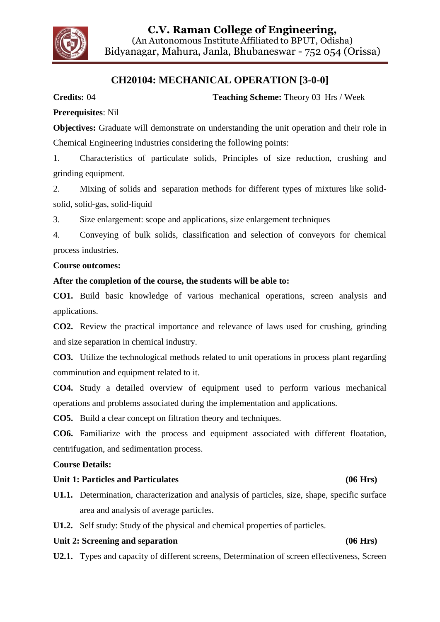

## **CH20104: MECHANICAL OPERATION [3-0-0]**

**Credits:** 04 **Teaching Scheme:** Theory 03 Hrs / Week

#### **Prerequisites**: Nil

**Objectives:** Graduate will demonstrate on understanding the unit operation and their role in Chemical Engineering industries considering the following points:

1. Characteristics of particulate solids, Principles of size reduction, crushing and grinding equipment.

2. Mixing of solids and separation methods for different types of mixtures like solidsolid, solid-gas, solid-liquid

3. Size enlargement: scope and applications, size enlargement techniques

4. Conveying of bulk solids, classification and selection of conveyors for chemical process industries.

#### **Course outcomes:**

#### **After the completion of the course, the students will be able to:**

**CO1.** Build basic knowledge of various mechanical operations, screen analysis and applications.

**CO2.** Review the practical importance and relevance of laws used for crushing, grinding and size separation in chemical industry.

**CO3.** Utilize the technological methods related to unit operations in process plant regarding comminution and equipment related to it.

**CO4.** Study a detailed overview of equipment used to perform various mechanical operations and problems associated during the implementation and applications.

**CO5.** Build a clear concept on filtration theory and techniques.

**CO6.** Familiarize with the process and equipment associated with different floatation, centrifugation, and sedimentation process.

**Course Details:**

#### **Unit 1: Particles and Particulates (06 Hrs)**

- **U1.1.** Determination, characterization and analysis of particles, size, shape, specific surface area and analysis of average particles.
- **U1.2.** Self study: Study of the physical and chemical properties of particles.

#### **Unit 2: Screening and separation (06 Hrs)**

**U2.1.** Types and capacity of different screens, Determination of screen effectiveness, Screen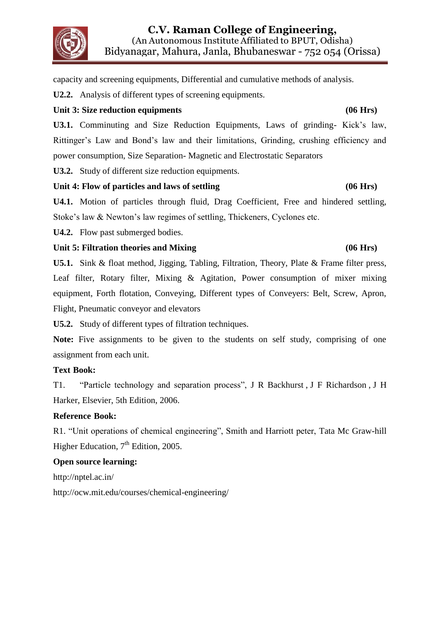

capacity and screening equipments, Differential and cumulative methods of analysis.

**U2.2.** Analysis of different types of screening equipments.

#### **Unit 3: Size reduction equipments (06 Hrs)**

**U3.1.** Comminuting and Size Reduction Equipments, Laws of grinding- Kick's law, Rittinger's Law and Bond's law and their limitations, Grinding, crushing efficiency and power consumption, Size Separation- Magnetic and Electrostatic Separators

**U3.2.** Study of different size reduction equipments.

### **Unit 4: Flow of particles and laws of settling (06 Hrs)**

**U4.1.** Motion of particles through fluid, Drag Coefficient, Free and hindered settling, Stoke's law & Newton's law regimes of settling, Thickeners, Cyclones etc.

**U4.2.** Flow past submerged bodies.

### **Unit 5: Filtration theories and Mixing (06 Hrs)**

**U5.1.** Sink & float method, Jigging, Tabling, Filtration, Theory, Plate & Frame filter press, Leaf filter, Rotary filter, Mixing & Agitation, Power consumption of mixer mixing equipment, Forth flotation, Conveying, Different types of Conveyers: Belt, Screw, Apron, Flight, Pneumatic conveyor and elevators

**U5.2.** Study of different types of filtration techniques.

Note: Five assignments to be given to the students on self study, comprising of one assignment from each unit.

#### **Text Book:**

T1. "Particle technology and separation process", J R Backhurst , J F Richardson , J H Harker, Elsevier, 5th Edition, 2006.

### **Reference Book:**

R1. "Unit operations of chemical engineering", Smith and Harriott peter, Tata Mc Graw-hill Higher Education,  $7<sup>th</sup>$  Edition, 2005.

### **Open source learning:**

http://nptel.ac.in/

<http://ocw.mit.edu/courses/chemical-engineering/>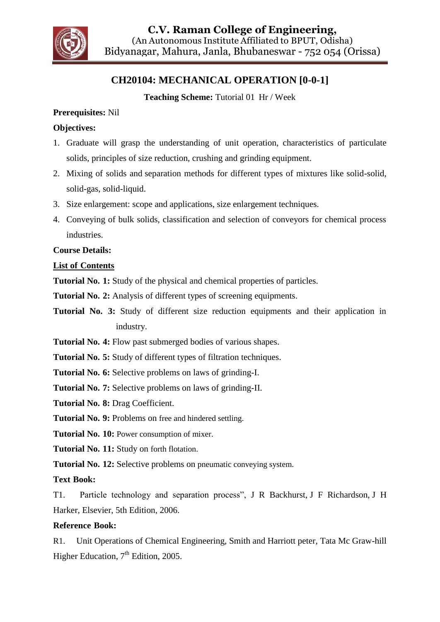

## **CH20104: MECHANICAL OPERATION [0-0-1]**

**Teaching Scheme:** Tutorial 01 Hr / Week

### **Prerequisites:** Nil

### **Objectives:**

- 1. Graduate will grasp the understanding of unit operation, characteristics of particulate solids, principles of size reduction, crushing and grinding equipment.
- 2. Mixing of solids and separation methods for different types of mixtures like solid-solid, solid-gas, solid-liquid.
- 3. Size enlargement: scope and applications, size enlargement techniques.
- 4. Conveying of bulk solids, classification and selection of conveyors for chemical process industries.

### **Course Details:**

### **List of Contents**

**Tutorial No. 1:** Study of the physical and chemical properties of particles.

**Tutorial No. 2:** Analysis of different types of screening equipments.

**Tutorial No. 3:** Study of different size reduction equipments and their application in industry.

**Tutorial No. 4:** Flow past submerged bodies of various shapes.

**Tutorial No. 5:** Study of different types of filtration techniques.

**Tutorial No. 6:** Selective problems on laws of grinding-I.

**Tutorial No. 7:** Selective problems on laws of grinding-II.

**Tutorial No. 8:** Drag Coefficient.

**Tutorial No. 9:** Problems on free and hindered settling.

**Tutorial No. 10:** Power consumption of mixer.

**Tutorial No. 11:** Study on forth flotation.

**Tutorial No. 12:** Selective problems on pneumatic conveying system.

**Text Book:**

T1. Particle technology and separation process", J R Backhurst, J F Richardson, J H Harker, Elsevier, 5th Edition, 2006.

### **Reference Book:**

R1. Unit Operations of Chemical Engineering, Smith and Harriott peter, Tata Mc Graw-hill Higher Education,  $7<sup>th</sup>$  Edition, 2005.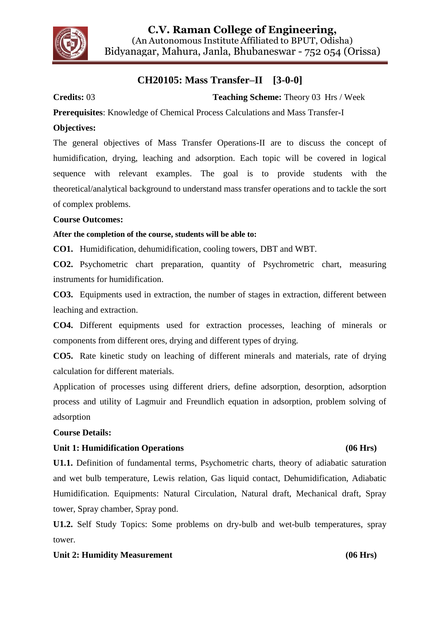

## **CH20105: Mass Transfer–II [3-0-0]**

**Credits:** 03 **Teaching Scheme:** Theory 03 Hrs / Week

**Prerequisites**: Knowledge of Chemical Process Calculations and Mass Transfer-I

#### **Objectives:**

The general objectives of Mass Transfer Operations-II are to discuss the concept of humidification, drying, leaching and adsorption. Each topic will be covered in logical sequence with relevant examples. The goal is to provide students with the theoretical/analytical background to understand mass transfer operations and to tackle the sort of complex problems.

#### **Course Outcomes:**

#### **After the completion of the course, students will be able to:**

**CO1.** Humidification, dehumidification, cooling towers, DBT and WBT.

**CO2.** Psychometric chart preparation, quantity of Psychrometric chart, measuring instruments for humidification.

**CO3.** Equipments used in extraction, the number of stages in extraction, different between leaching and extraction.

**CO4.** Different equipments used for extraction processes, leaching of minerals or components from different ores, drying and different types of drying.

**CO5.** Rate kinetic study on leaching of different minerals and materials, rate of drying calculation for different materials.

Application of processes using different driers, define adsorption, desorption, adsorption process and utility of Lagmuir and Freundlich equation in adsorption, problem solving of adsorption

#### **Course Details:**

#### Unit 1: Humidification Operations (06 Hrs)

## **U1.1.** Definition of fundamental terms, Psychometric charts, theory of adiabatic saturation and wet bulb temperature, Lewis relation, Gas liquid contact, Dehumidification, Adiabatic Humidification. Equipments: Natural Circulation, Natural draft, Mechanical draft, Spray tower, Spray chamber, Spray pond.

**U1.2.** Self Study Topics: Some problems on dry-bulb and wet-bulb temperatures, spray tower.

#### Unit 2: Humidity Measurement (06 Hrs)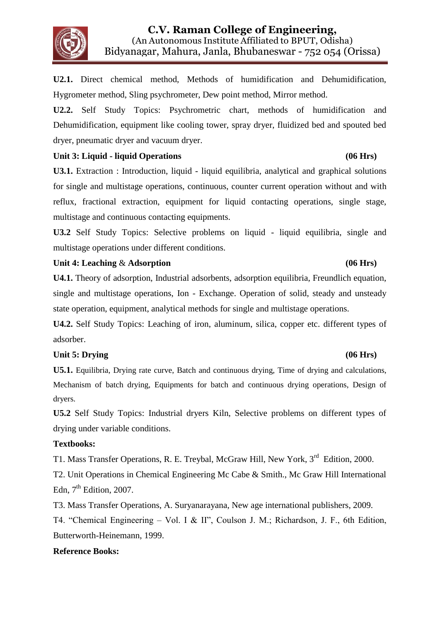

**U2.1.** Direct chemical method, Methods of humidification and Dehumidification, Hygrometer method, Sling psychrometer, Dew point method, Mirror method.

**U2.2.** Self Study Topics: Psychrometric chart, methods of humidification and Dehumidification, equipment like cooling tower, spray dryer, fluidized bed and spouted bed dryer, pneumatic dryer and vacuum dryer.

#### Unit 3: Liquid - liquid Operations (06 Hrs)

U3.1. Extraction : Introduction, liquid - liquid equilibria, analytical and graphical solutions for single and multistage operations, continuous, counter current operation without and with reflux, fractional extraction, equipment for liquid contacting operations, single stage, multistage and continuous contacting equipments.

**U3.2** Self Study Topics: Selective problems on liquid - liquid equilibria, single and multistage operations under different conditions.

### Unit 4: Leaching & Adsorption (06 Hrs)

**U4.1.** Theory of adsorption, Industrial adsorbents, adsorption equilibria, Freundlich equation, single and multistage operations, Ion - Exchange. Operation of solid, steady and unsteady state operation, equipment, analytical methods for single and multistage operations.

**U4.2.** Self Study Topics: Leaching of iron, aluminum, silica, copper etc. different types of adsorber.

### Unit 5: Drying (06 Hrs)

**U5.1.** Equilibria, Drying rate curve, Batch and continuous drying, Time of drying and calculations, Mechanism of batch drying, Equipments for batch and continuous drying operations, Design of dryers.

**U5.2** Self Study Topics: Industrial dryers Kiln, Selective problems on different types of drying under variable conditions.

### **Textbooks:**

T1. Mass Transfer Operations, R. E. Treybal, McGraw Hill, New York, 3<sup>rd</sup> Edition, 2000.

T2. Unit Operations in Chemical Engineering Mc Cabe & Smith., Mc Graw Hill International Edn,  $7<sup>th</sup>$  Edition, 2007.

T3. Mass Transfer Operations, A. Suryanarayana, New age international publishers, 2009.

T4. "Chemical Engineering – Vol. I & II", Coulson J. M.; Richardson, J. F., 6th Edition, Butterworth-Heinemann, 1999.

### **Reference Books:**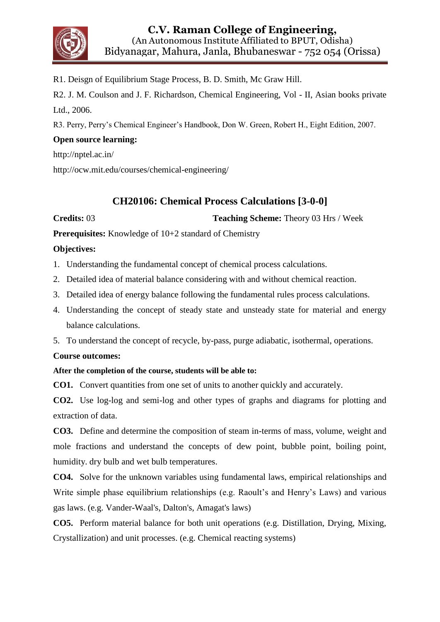

R1. Deisgn of Equilibrium Stage Process, B. D. Smith, Mc Graw Hill.

R2. J. M. Coulson and J. F. Richardson, Chemical Engineering, Vol - II, Asian books private Ltd., 2006.

R3. Perry, Perry's Chemical Engineer's Handbook, Don W. Green, Robert H., Eight Edition, 2007.

### **Open source learning:**

http://nptel.ac.in/

<http://ocw.mit.edu/courses/chemical-engineering/>

## **CH20106: Chemical Process Calculations [3-0-0]**

**Credits: 03 Teaching Scheme: Theory 03 Hrs / Week** 

**Prerequisites:** Knowledge of 10+2 standard of Chemistry

### **Objectives:**

1. Understanding the fundamental concept of chemical process calculations.

2. Detailed idea of material balance considering with and without chemical reaction.

- 3. Detailed idea of energy balance following the fundamental rules process calculations.
- 4. Understanding the concept of steady state and unsteady state for material and energy balance calculations.

5. To understand the concept of recycle, by-pass, purge adiabatic, isothermal, operations.

#### **Course outcomes:**

#### **After the completion of the course, students will be able to:**

**CO1.** Convert quantities from one set of units to another quickly and accurately.

**CO2.** Use log-log and semi-log and other types of graphs and diagrams for plotting and extraction of data.

**CO3.** Define and determine the composition of steam in-terms of mass, volume, weight and mole fractions and understand the concepts of dew point, bubble point, boiling point, humidity. dry bulb and wet bulb temperatures.

**CO4.** Solve for the unknown variables using fundamental laws, empirical relationships and Write simple phase equilibrium relationships (e.g. Raoult's and Henry's Laws) and various gas laws. (e.g. Vander-Waal's, Dalton's, Amagat's laws)

**CO5.** Perform material balance for both unit operations (e.g. Distillation, Drying, Mixing, Crystallization) and unit processes. (e.g. Chemical reacting systems)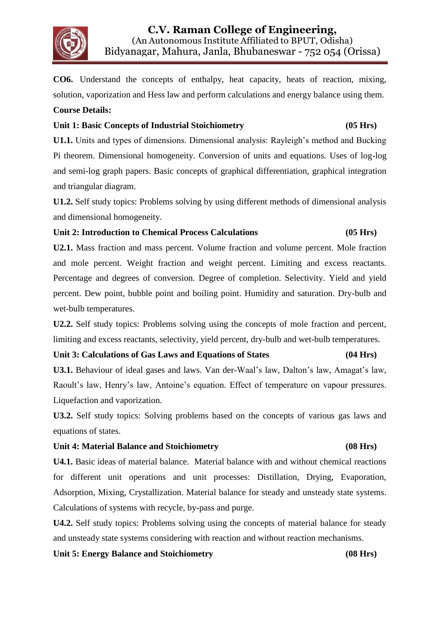

**CO6.** Understand the concepts of enthalpy, heat capacity, heats of reaction, mixing, solution, vaporization and Hess law and perform calculations and energy balance using them. **Course Details:**

#### **Unit 1: Basic Concepts of Industrial Stoichiometry (05 Hrs)**

**U1.1.** Units and types of dimensions. Dimensional analysis: Rayleigh's method and Bucking Pi theorem. Dimensional homogeneity. Conversion of units and equations. Uses of log-log and semi-log graph papers. Basic concepts of graphical differentiation, graphical integration and triangular diagram.

**U1.2.** Self study topics: Problems solving by using different methods of dimensional analysis and dimensional homogeneity.

#### **Unit 2: Introduction to Chemical Process Calculations (05 Hrs)**

**U2.1.** Mass fraction and mass percent. Volume fraction and volume percent. Mole fraction and mole percent. Weight fraction and weight percent. Limiting and excess reactants. Percentage and degrees of conversion. Degree of completion. Selectivity. Yield and yield percent. Dew point, bubble point and boiling point. Humidity and saturation. Dry-bulb and wet-bulb temperatures.

**U2.2.** Self study topics: Problems solving using the concepts of mole fraction and percent, limiting and excess reactants, selectivity, yield percent, dry-bulb and wet-bulb temperatures.

#### **Unit 3: Calculations of Gas Laws and Equations of States (04 Hrs)**

**U3.1.** Behaviour of ideal gases and laws. Van der-Waal's law, Dalton's law, Amagat's law, Raoult's law, Henry's law, Antoine's equation. Effect of temperature on vapour pressures. Liquefaction and vaporization.

**U3.2.** Self study topics: Solving problems based on the concepts of various gas laws and equations of states.

#### **Unit 4: Material Balance and Stoichiometry (08 Hrs)**

## **U4.1.** Basic ideas of material balance. Material balance with and without chemical reactions for different unit operations and unit processes: Distillation, Drying, Evaporation, Adsorption, Mixing, Crystallization. Material balance for steady and unsteady state systems. Calculations of systems with recycle, by-pass and purge.

**U4.2.** Self study topics: Problems solving using the concepts of material balance for steady and unsteady state systems considering with reaction and without reaction mechanisms.

#### **Unit 5: Energy Balance and Stoichiometry (08 Hrs)**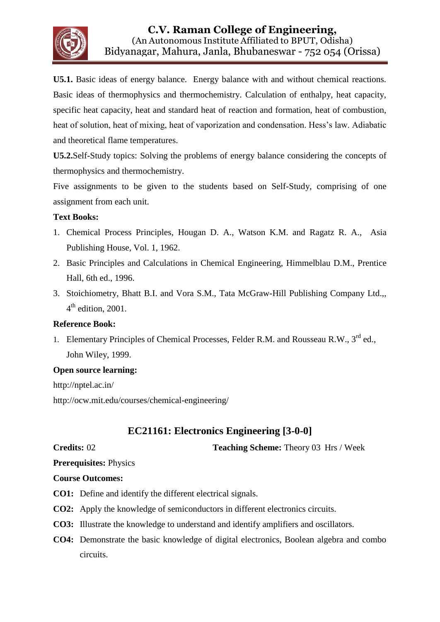

**U5.1.** Basic ideas of energy balance. Energy balance with and without chemical reactions. Basic ideas of thermophysics and thermochemistry. Calculation of enthalpy, heat capacity, specific heat capacity, heat and standard heat of reaction and formation, heat of combustion, heat of solution, heat of mixing, heat of vaporization and condensation. Hess's law. Adiabatic and theoretical flame temperatures.

**U5.2.**Self-Study topics: Solving the problems of energy balance considering the concepts of thermophysics and thermochemistry.

Five assignments to be given to the students based on Self-Study, comprising of one assignment from each unit.

#### **Text Books:**

- 1. Chemical Process Principles, Hougan D. A., Watson K.M. and Ragatz R. A., Asia Publishing House, Vol. 1, 1962.
- 2. Basic Principles and Calculations in Chemical Engineering, Himmelblau D.M., Prentice Hall, 6th ed., 1996.
- 3. Stoichiometry, Bhatt B.I. and Vora S.M., Tata McGraw-Hill Publishing Company Ltd.,,  $4<sup>th</sup>$  edition, 2001.

#### **Reference Book:**

1. Elementary Principles of Chemical Processes, Felder R.M. and Rousseau R.W., 3<sup>rd</sup> ed., John Wiley, 1999.

#### **Open source learning:**

http://nptel.ac.in/ <http://ocw.mit.edu/courses/chemical-engineering/>

## **EC21161: Electronics Engineering [3-0-0]**

**Credits:** 02 **Teaching Scheme:** Theory 03 Hrs / Week

**Prerequisites:** Physics

#### **Course Outcomes:**

- **CO1:** Define and identify the different electrical signals.
- **CO2:** Apply the knowledge of semiconductors in different electronics circuits.
- **CO3:** Illustrate the knowledge to understand and identify amplifiers and oscillators.
- **CO4:** Demonstrate the basic knowledge of digital electronics, Boolean algebra and combo circuits.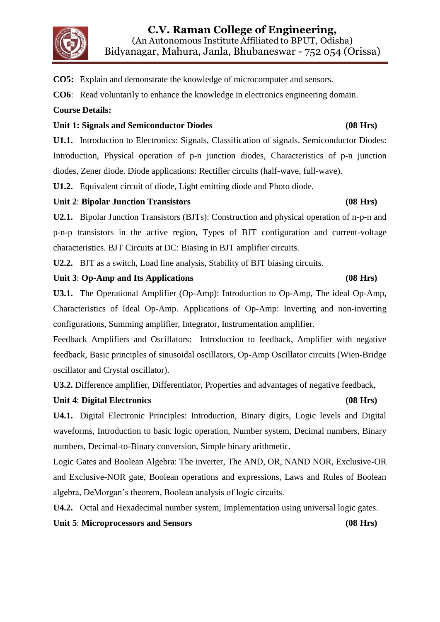

**CO5:** Explain and demonstrate the knowledge of microcomputer and sensors.

**CO6**: Read voluntarily to enhance the knowledge in electronics engineering domain.

#### **Course Details:**

#### **Unit 1: Signals and Semiconductor Diodes (08 Hrs)**

**U1.1.** Introduction to Electronics: Signals, Classification of signals. Semiconductor Diodes: Introduction, Physical operation of p-n junction diodes, Characteristics of p-n junction diodes, Zener diode. Diode applications: Rectifier circuits (half-wave, full-wave).

**U1.2.** Equivalent circuit of diode, Light emitting diode and Photo diode.

#### **Unit 2**: **Bipolar Junction Transistors (08 Hrs)**

**U2.1.** Bipolar Junction Transistors (BJTs): Construction and physical operation of n-p-n and p-n-p transistors in the active region, Types of BJT configuration and current-voltage characteristics. BJT Circuits at DC: Biasing in BJT amplifier circuits.

**U2.2.** BJT as a switch, Load line analysis, Stability of BJT biasing circuits.

#### **Unit 3**: **Op-Amp and Its Applications (08 Hrs)**

**U3.1.** The Operational Amplifier (Op-Amp): Introduction to Op-Amp, The ideal Op-Amp, Characteristics of Ideal Op-Amp. Applications of Op-Amp: Inverting and non-inverting configurations, Summing amplifier, Integrator, Instrumentation amplifier.

Feedback Amplifiers and Oscillators: Introduction to feedback, Amplifier with negative feedback, Basic principles of sinusoidal oscillators, Op-Amp Oscillator circuits (Wien-Bridge oscillator and Crystal oscillator).

**U3.2.** Difference amplifier, Differentiator, Properties and advantages of negative feedback,

#### **Unit 4**: **Digital Electronics (08 Hrs)**

**U4.1.** Digital Electronic Principles: Introduction, Binary digits, Logic levels and Digital waveforms, Introduction to basic logic operation, Number system, Decimal numbers, Binary numbers, Decimal-to-Binary conversion, Simple binary arithmetic.

Logic Gates and Boolean Algebra: The inverter, The AND, OR, NAND NOR, Exclusive-OR and Exclusive-NOR gate, Boolean operations and expressions, Laws and Rules of Boolean algebra, DeMorgan's theorem, Boolean analysis of logic circuits.

**U4.2.** Octal and Hexadecimal number system, Implementation using universal logic gates.

**Unit 5**: **Microprocessors and Sensors (08 Hrs)**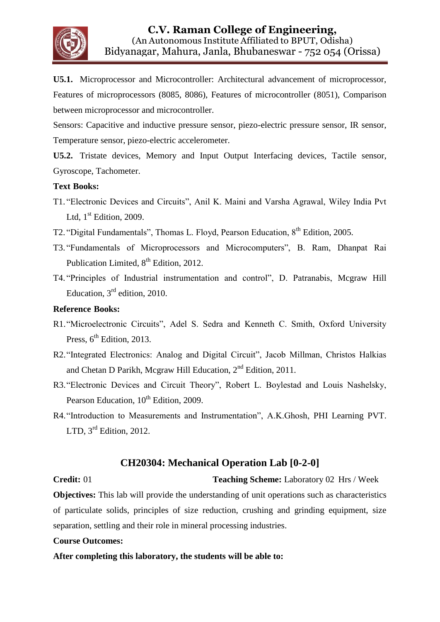

**U5.1.** Microprocessor and Microcontroller: Architectural advancement of microprocessor, Features of microprocessors (8085, 8086), Features of microcontroller (8051), Comparison between microprocessor and microcontroller.

Sensors: Capacitive and inductive pressure sensor, piezo-electric pressure sensor, IR sensor, Temperature sensor, piezo-electric accelerometer.

**U5.2.** Tristate devices, Memory and Input Output Interfacing devices, Tactile sensor, Gyroscope, Tachometer.

#### **Text Books:**

- T1. "Electronic Devices and Circuits", Anil K. Maini and Varsha Agrawal, Wiley India Pvt Ltd,  $1<sup>st</sup>$  Edition, 2009.
- T2. "Digital Fundamentals", Thomas L. Floyd, Pearson Education, 8th Edition, 2005.
- T3. "Fundamentals of Microprocessors and Microcomputers", B. Ram, Dhanpat Rai Publication Limited,  $8<sup>th</sup>$  Edition, 2012.
- T4. "Principles of Industrial instrumentation and control", D. Patranabis, Mcgraw Hill Education,  $3<sup>rd</sup>$  edition, 2010.

#### **Reference Books:**

- R1."Microelectronic Circuits", Adel S. Sedra and Kenneth C. Smith, Oxford University Press,  $6<sup>th</sup>$  Edition, 2013.
- R2."Integrated Electronics: Analog and Digital Circuit", Jacob Millman, Christos Halkias and Chetan D Parikh, Mcgraw Hill Education, 2nd Edition, 2011.
- R3."Electronic Devices and Circuit Theory", Robert L. Boylestad and Louis Nashelsky, Pearson Education,  $10^{th}$  Edition, 2009.
- R4."Introduction to Measurements and Instrumentation", A.K.Ghosh, PHI Learning PVT. LTD, 3<sup>rd</sup> Edition, 2012.

#### **CH20304: Mechanical Operation Lab [0-2-0]**

**Credit:** 01 **Teaching Scheme:** Laboratory 02 Hrs / Week

**Objectives:** This lab will provide the understanding of unit operations such as characteristics of particulate solids, principles of size reduction, crushing and grinding equipment, size separation, settling and their role in mineral processing industries.

#### **Course Outcomes:**

**After completing this laboratory, the students will be able to:**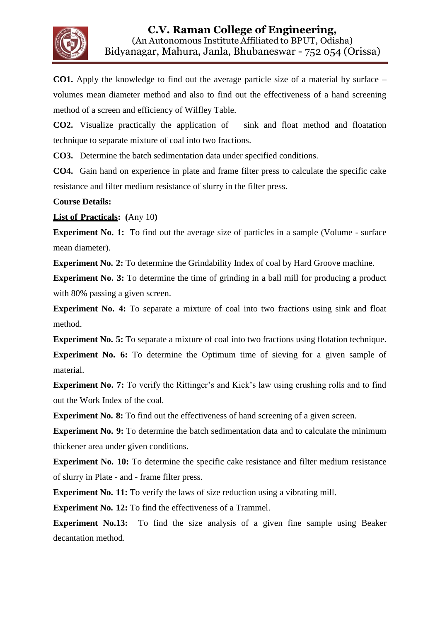

**CO1.** Apply the knowledge to find out the average particle size of a material by surface – volumes mean diameter method and also to find out the effectiveness of a hand screening method of a screen and efficiency of Wilfley Table.

**CO2.** Visualize practically the application of sink and float method and floatation technique to separate mixture of coal into two fractions.

**CO3.** Determine the batch sedimentation data under specified conditions.

**CO4.** Gain hand on experience in plate and frame filter press to calculate the specific cake resistance and filter medium resistance of slurry in the filter press.

#### **Course Details:**

**List of Practicals: (**Any 10**)**

**Experiment No. 1:** To find out the average size of particles in a sample (Volume - surface mean diameter).

**Experiment No. 2:** To determine the Grindability Index of coal by Hard Groove machine.

**Experiment No. 3:** To determine the time of grinding in a ball mill for producing a product with 80% passing a given screen.

**Experiment No. 4:** To separate a mixture of coal into two fractions using sink and float method.

**Experiment No. 5:** To separate a mixture of coal into two fractions using flotation technique. **Experiment No. 6:** To determine the Optimum time of sieving for a given sample of material.

**Experiment No. 7:** To verify the Rittinger's and Kick's law using crushing rolls and to find out the Work Index of the coal.

**Experiment No. 8:** To find out the effectiveness of hand screening of a given screen.

**Experiment No. 9:** To determine the batch sedimentation data and to calculate the minimum thickener area under given conditions.

**Experiment No. 10:** To determine the specific cake resistance and filter medium resistance of slurry in Plate - and - frame filter press.

**Experiment No. 11:** To verify the laws of size reduction using a vibrating mill.

**Experiment No. 12:** To find the effectiveness of a Trammel.

**Experiment No.13:** To find the size analysis of a given fine sample using Beaker decantation method.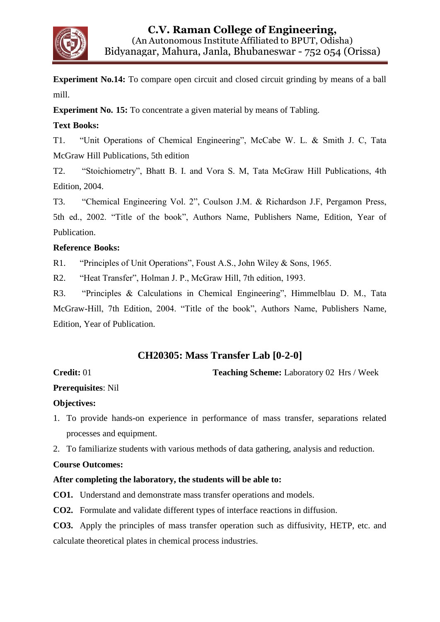

**Experiment No.14:** To compare open circuit and closed circuit grinding by means of a ball mill.

**Experiment No. 15:** To concentrate a given material by means of Tabling.

### **Text Books:**

T1. "Unit Operations of Chemical Engineering", McCabe W. L. & Smith J. C, Tata McGraw Hill Publications, 5th edition

T2. "Stoichiometry", Bhatt B. I. and Vora S. M, Tata McGraw Hill Publications, 4th Edition, 2004.

T3. "Chemical Engineering Vol. 2", Coulson J.M. & Richardson J.F, Pergamon Press, 5th ed., 2002. "Title of the book", Authors Name, Publishers Name, Edition, Year of Publication.

#### **Reference Books:**

R1. "Principles of Unit Operations", Foust A.S., John Wiley & Sons, 1965.

R2. "Heat Transfer", Holman J. P., McGraw Hill, 7th edition, 1993.

R3. "Principles & Calculations in Chemical Engineering", Himmelblau D. M., Tata McGraw-Hill, 7th Edition, 2004. "Title of the book", Authors Name, Publishers Name, Edition, Year of Publication.

## **CH20305: Mass Transfer Lab [0-2-0]**

**Credit: 01 Teaching Scheme: Laboratory 02 Hrs / Week** 

### **Prerequisites**: Nil

#### **Objectives:**

- 1. To provide hands-on experience in performance of mass transfer, separations related processes and equipment.
- 2. To familiarize students with various methods of data gathering, analysis and reduction.

#### **Course Outcomes:**

#### **After completing the laboratory, the students will be able to:**

**CO1.** Understand and demonstrate mass transfer operations and models.

**CO2.** Formulate and validate different types of interface reactions in diffusion.

**CO3.** Apply the principles of mass transfer operation such as diffusivity, HETP, etc. and calculate theoretical plates in chemical process industries.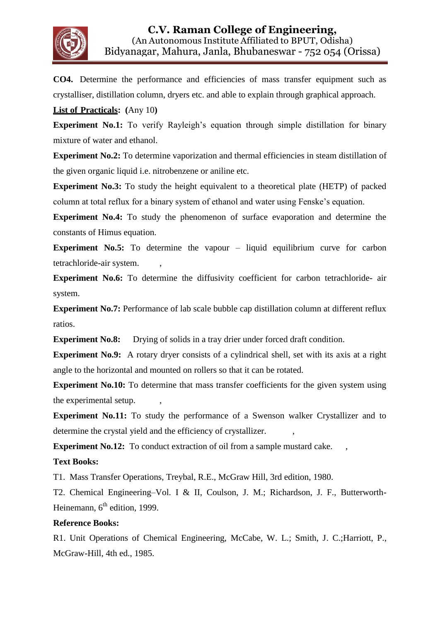

**CO4.** Determine the performance and efficiencies of mass transfer equipment such as crystalliser, distillation column, dryers etc. and able to explain through graphical approach.

#### **List of Practicals: (**Any 10**)**

**Experiment No.1:** To verify Rayleigh's equation through simple distillation for binary mixture of water and ethanol.

**Experiment No.2:** To determine vaporization and thermal efficiencies in steam distillation of the given organic liquid i.e. nitrobenzene or aniline etc.

**Experiment No.3:** To study the height equivalent to a theoretical plate (HETP) of packed column at total reflux for a binary system of ethanol and water using Fenske's equation.

**Experiment No.4:** To study the phenomenon of surface evaporation and determine the constants of Himus equation.

**Experiment No.5:** To determine the vapour – liquid equilibrium curve for carbon tetrachloride-air system.

**Experiment No.6:** To determine the diffusivity coefficient for carbon tetrachloride- air system.

**Experiment No.7:** Performance of lab scale bubble cap distillation column at different reflux ratios.

**Experiment No.8:** Drying of solids in a tray drier under forced draft condition.

**Experiment No.9:** A rotary dryer consists of a cylindrical shell, set with its axis at a right angle to the horizontal and mounted on rollers so that it can be rotated.

**Experiment No.10:** To determine that mass transfer coefficients for the given system using the experimental setup.

**Experiment No.11:** To study the performance of a Swenson walker Crystallizer and to determine the crystal yield and the efficiency of crystallizer.

**Experiment No.12:** To conduct extraction of oil from a sample mustard cake.

#### **Text Books:**

T1. Mass Transfer Operations, Treybal, R.E., McGraw Hill, 3rd edition, 1980.

T2. Chemical Engineering–Vol. I & II, Coulson, J. M.; Richardson, J. F., Butterworth-Heinemann, 6<sup>th</sup> edition, 1999.

#### **Reference Books:**

R1. Unit Operations of Chemical Engineering, McCabe, W. L.; Smith, J. C.;Harriott, P., McGraw-Hill, 4th ed., 1985.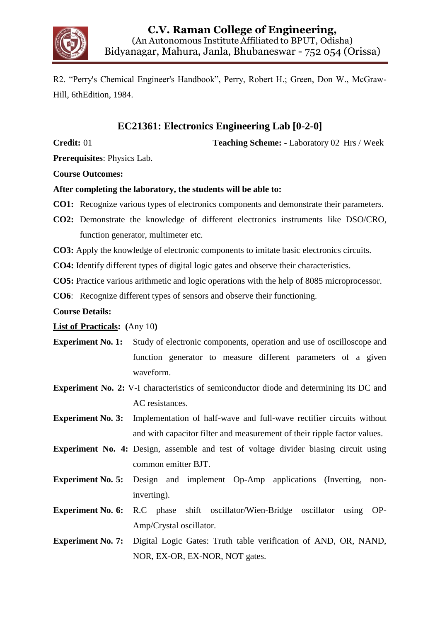

R2. "Perry's Chemical Engineer's Handbook", Perry, Robert H.; Green, Don W., McGraw-Hill, 6thEdition, 1984.

## **EC21361: Electronics Engineering Lab [0-2-0]**

**Credit:** 01 **Teaching Scheme: -** Laboratory 02 Hrs / Week

**Prerequisites**: Physics Lab.

**Course Outcomes:**

#### **After completing the laboratory, the students will be able to:**

- **CO1:** Recognize various types of electronics components and demonstrate their parameters.
- **CO2:** Demonstrate the knowledge of different electronics instruments like DSO/CRO, function generator, multimeter etc.
- **CO3:** Apply the knowledge of electronic components to imitate basic electronics circuits.
- **CO4:** Identify different types of digital logic gates and observe their characteristics.

**CO5:** Practice various arithmetic and logic operations with the help of 8085 microprocessor.

**CO6**: Recognize different types of sensors and observe their functioning.

#### **Course Details:**

#### **List of Practicals: (**Any 10**)**

- **Experiment No. 1:** Study of electronic components, operation and use of oscilloscope and function generator to measure different parameters of a given waveform.
- **Experiment No. 2:** V-I characteristics of semiconductor diode and determining its DC and AC resistances.
- **Experiment No. 3:** Implementation of half-wave and full-wave rectifier circuits without and with capacitor filter and measurement of their ripple factor values.
- **Experiment No. 4:** Design, assemble and test of voltage divider biasing circuit using common emitter BJT.
- **Experiment No. 5:** Design and implement Op-Amp applications (Inverting, noninverting).
- **Experiment No. 6:** R.C phase shift oscillator/Wien-Bridge oscillator using OP-Amp/Crystal oscillator.
- **Experiment No. 7:** Digital Logic Gates: Truth table verification of AND, OR, NAND, NOR, EX-OR, EX-NOR, NOT gates.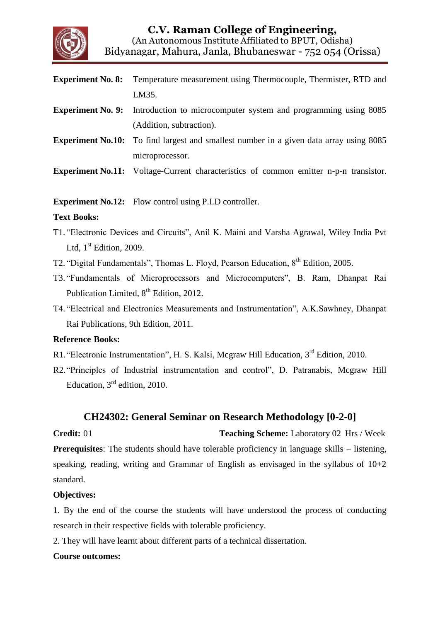

- **Experiment No. 8:** Temperature measurement using Thermocouple, Thermister, RTD and LM35.
- **Experiment No. 9:** Introduction to microcomputer system and programming using 8085 (Addition, subtraction).
- **Experiment No.10:** To find largest and smallest number in a given data array using 8085 microprocessor.
- **Experiment No.11:** Voltage-Current characteristics of common emitter n-p-n transistor.

**Experiment No.12:** Flow control using P.I.D controller.

#### **Text Books:**

- T1. "Electronic Devices and Circuits", Anil K. Maini and Varsha Agrawal, Wiley India Pvt Ltd,  $1<sup>st</sup>$  Edition, 2009.
- T2. "Digital Fundamentals", Thomas L. Floyd, Pearson Education, 8<sup>th</sup> Edition, 2005.
- T3. "Fundamentals of Microprocessors and Microcomputers", B. Ram, Dhanpat Rai Publication Limited,  $8<sup>th</sup>$  Edition, 2012.
- T4. "Electrical and Electronics Measurements and Instrumentation", A.K.Sawhney, Dhanpat Rai Publications, 9th Edition, 2011.

#### **Reference Books:**

- R1. "Electronic Instrumentation", H. S. Kalsi, Mcgraw Hill Education, 3<sup>rd</sup> Edition, 2010.
- R2."Principles of Industrial instrumentation and control", D. Patranabis, Mcgraw Hill Education, 3<sup>rd</sup> edition, 2010.

### **CH24302: General Seminar on Research Methodology [0-2-0]**

**Credit:** 01 **Teaching Scheme:** Laboratory 02 Hrs / Week **Prerequisites**: The students should have tolerable proficiency in language skills – listening, speaking, reading, writing and Grammar of English as envisaged in the syllabus of  $10+2$ standard.

#### **Objectives:**

1. By the end of the course the students will have understood the process of conducting research in their respective fields with tolerable proficiency.

2. They will have learnt about different parts of a technical dissertation.

#### **Course outcomes:**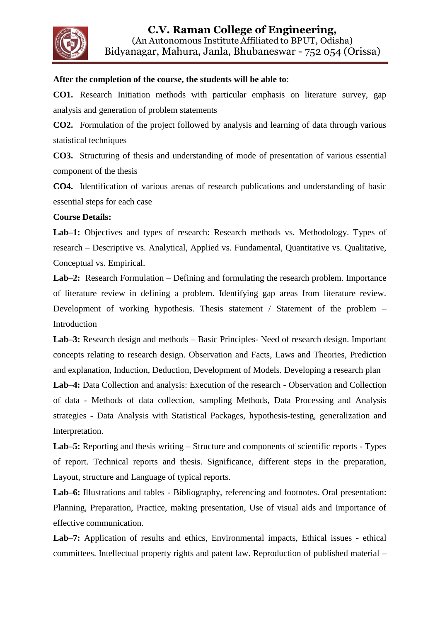

#### **After the completion of the course, the students will be able to**:

**CO1.** Research Initiation methods with particular emphasis on literature survey, gap analysis and generation of problem statements

**CO2.** Formulation of the project followed by analysis and learning of data through various statistical techniques

**CO3.** Structuring of thesis and understanding of mode of presentation of various essential component of the thesis

**CO4.** Identification of various arenas of research publications and understanding of basic essential steps for each case

#### **Course Details:**

Lab–1: Objectives and types of research: Research methods vs. Methodology. Types of research – Descriptive vs. Analytical, Applied vs. Fundamental, Quantitative vs. Qualitative, Conceptual vs. Empirical.

**Lab–2:** Research Formulation – Defining and formulating the research problem. Importance of literature review in defining a problem. Identifying gap areas from literature review. Development of working hypothesis. Thesis statement / Statement of the problem – Introduction

**Lab–3:** Research design and methods – Basic Principles- Need of research design. Important concepts relating to research design. Observation and Facts, Laws and Theories, Prediction and explanation, Induction, Deduction, Development of Models. Developing a research plan

**Lab–4:** Data Collection and analysis: Execution of the research - Observation and Collection of data - Methods of data collection, sampling Methods, Data Processing and Analysis strategies - Data Analysis with Statistical Packages, hypothesis-testing, generalization and Interpretation.

**Lab–5:** Reporting and thesis writing – Structure and components of scientific reports - Types of report. Technical reports and thesis. Significance, different steps in the preparation, Layout, structure and Language of typical reports.

**Lab–6:** Illustrations and tables - Bibliography, referencing and footnotes. Oral presentation: Planning, Preparation, Practice, making presentation, Use of visual aids and Importance of effective communication.

**Lab–7:** Application of results and ethics, Environmental impacts, Ethical issues - ethical committees. Intellectual property rights and patent law. Reproduction of published material –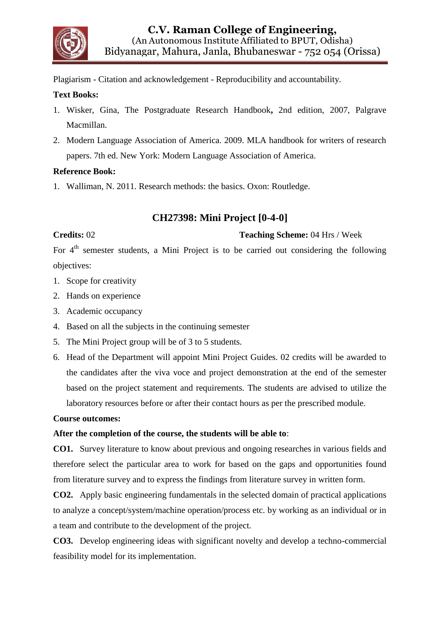

Plagiarism - Citation and acknowledgement - Reproducibility and accountability.

#### **Text Books:**

- 1. Wisker, Gina, The Postgraduate Research Handbook**,** 2nd edition, 2007, Palgrave Macmillan.
- 2. Modern Language Association of America. 2009. MLA handbook for writers of research papers. 7th ed. New York: Modern Language Association of America.

#### **Reference Book:**

1. Walliman, N. 2011. Research methods: the basics. Oxon: Routledge.

### **CH27398: Mini Project [0-4-0]**

#### **Credits:** 02 **Teaching Scheme:** 04 Hrs / Week

For 4<sup>th</sup> semester students, a Mini Project is to be carried out considering the following objectives:

- 1. Scope for creativity
- 2. Hands on experience
- 3. Academic occupancy
- 4. Based on all the subjects in the continuing semester
- 5. The Mini Project group will be of 3 to 5 students.
- 6. Head of the Department will appoint Mini Project Guides. 02 credits will be awarded to the candidates after the viva voce and project demonstration at the end of the semester based on the project statement and requirements. The students are advised to utilize the laboratory resources before or after their contact hours as per the prescribed module.

#### **Course outcomes:**

#### **After the completion of the course, the students will be able to**:

**CO1.** Survey literature to know about previous and ongoing researches in various fields and therefore select the particular area to work for based on the gaps and opportunities found from literature survey and to express the findings from literature survey in written form.

**CO2.** Apply basic engineering fundamentals in the selected domain of practical applications to analyze a concept/system/machine operation/process etc. by working as an individual or in a team and contribute to the development of the project.

**CO3.** Develop engineering ideas with significant novelty and develop a techno-commercial feasibility model for its implementation.